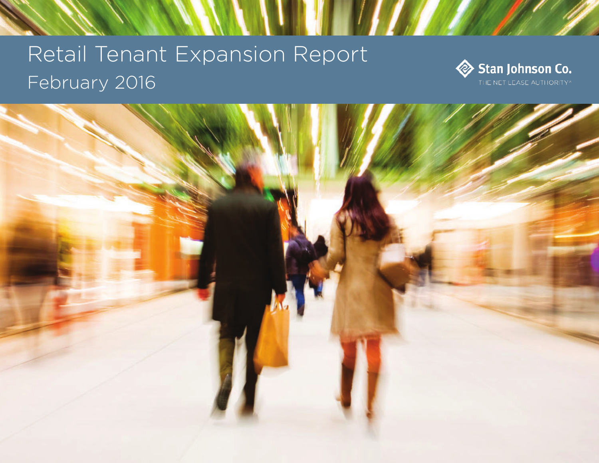# Retail Tenant Expansion Report February 2016





**EVALU**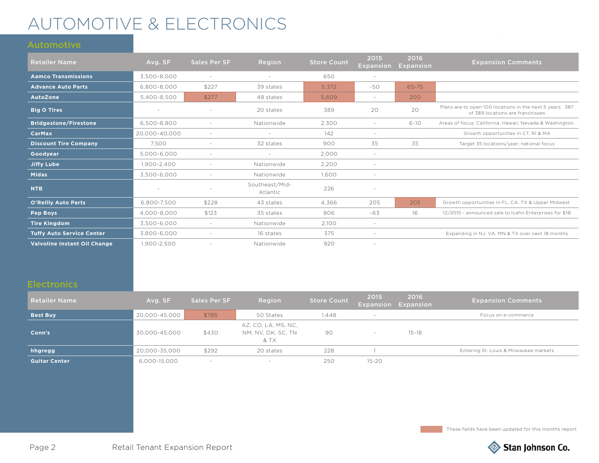## AUTOMOTIVE & ELECTRONICS

| <b>Retailer Name</b>             | Avg. SF       | Sales Per SF             | Region                     | <b>Store Count</b> | 2015<br><b>Expansion</b> | 2016<br><b>Expansion</b> | <b>Expansion Comments</b>                                                                    |
|----------------------------------|---------------|--------------------------|----------------------------|--------------------|--------------------------|--------------------------|----------------------------------------------------------------------------------------------|
| <b>Aamco Transmissions</b>       | 3,500-8,000   | $\sim$                   |                            | 650                | $\sim$                   |                          |                                                                                              |
| <b>Advance Auto Parts</b>        | 6.800-8.000   | \$227                    | 39 states                  | 5.372              | $-50$                    | $65 - 75$                |                                                                                              |
| AutoZone                         | 5,400-8,500   | \$277                    | 48 states                  | 5.609              | $\sim$                   | 200                      |                                                                                              |
| <b>Big O Tires</b>               |               |                          | 20 states                  | 389                | 20                       | 20                       | Plans are to open 100 locations in the next 5 years. 387<br>of 389 locations are franchisees |
| <b>Bridgestone/Firestone</b>     | 6.500-8.800   |                          | Nationwide                 | 2,300              | $\sim$                   | $6 - 10$                 | Areas of focus: California, Hawaii, Nevada & Washington.                                     |
| <b>CarMax</b>                    | 20,000-40,000 | $\sim$                   | $\sim$                     | 142                | $\sim$                   |                          | Growth opportunities in CT, RI & MA                                                          |
| <b>Discount Tire Company</b>     | 7.500         |                          | 32 states                  | 900                | 35                       | 35                       | Target 35 locations/year; national focus                                                     |
| Goodyear                         | 5,000-6,000   | $\sim$                   | $\sim$                     | 2,000              | $\sim$                   |                          |                                                                                              |
| <b>Jiffy Lube</b>                | 1,900-2,400   | $\overline{\phantom{a}}$ | Nationwide                 | 2,200              | $\sim$                   |                          |                                                                                              |
| <b>Midas</b>                     | 3.500-6.000   |                          | Nationwide                 | 1.600              | $\sim$                   |                          |                                                                                              |
| <b>NTB</b>                       |               |                          | Southeast/Mid-<br>Atlantic | 226                |                          |                          |                                                                                              |
| <b>O'Reilly Auto Parts</b>       | 6,800-7,500   | \$228                    | 43 states                  | 4.366              | 205                      | 205                      | Growth opportunities in FL, CA, TX & Upper Midwest.                                          |
| Pep Boys                         | 4,000-8,000   | \$123                    | 35 states                  | 806                | $-63$                    | 16                       | 12/2015 - announced sale to Icahn Enterprises for \$1B                                       |
| <b>Tire Kingdom</b>              | 3,500-6,000   | $\sim$                   | Nationwide                 | 2,100              | $\sim$                   |                          |                                                                                              |
| <b>Tuffy Auto Service Center</b> | 3.800-6.000   | $\overline{\phantom{a}}$ | 16 states                  | 375                |                          |                          | Expanding in NJ, VA, MN & TX over next 18 months                                             |
| Valvoline Instant Oil Change     | 1,900-2,500   |                          | Nationwide                 | 920                | $\overline{\phantom{a}}$ |                          |                                                                                              |

| <b>Retailer Name</b> | Avg. SF       | <b>Sales Per SF</b> | Region                                            | <b>Store Count</b> | 2015      | 2016<br><b>Expansion Expansion</b> | <b>Expansion Comments</b>              |
|----------------------|---------------|---------------------|---------------------------------------------------|--------------------|-----------|------------------------------------|----------------------------------------|
| <b>Best Buy</b>      | 20,000-45,000 | \$785               | 50 States                                         | 1.448              |           |                                    | Focus on e-commerce                    |
| Conn's               | 30.000-45.000 | \$430               | AZ, CO, LA, MS, NC,<br>NM, NV, OK, SC, TN<br>& TX | 90                 |           | $15 - 18$                          |                                        |
| hhgregg              | 20,000-35,000 | \$292               | 20 states                                         | 228                |           |                                    | Entering St. Louis & Milwaukee markets |
| <b>Guitar Center</b> | 6,000-15,000  |                     |                                                   | 250                | $15 - 20$ |                                    |                                        |

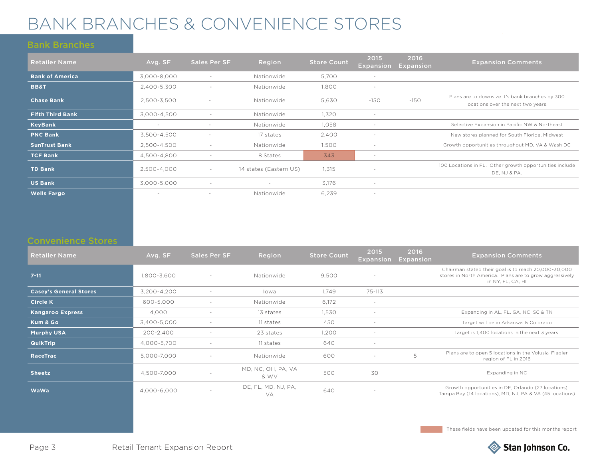## BANK BRANCHES & CONVENIENCE STORES

| <b>Retailer Name</b>    | Avg. SF                  | Sales Per SF             | Region                   | <b>Store Count</b> | 2015<br><b>Expansion</b> | 2016<br>Expansion | <b>Expansion Comments</b>                                                             |
|-------------------------|--------------------------|--------------------------|--------------------------|--------------------|--------------------------|-------------------|---------------------------------------------------------------------------------------|
| <b>Bank of America</b>  | 3,000-8,000              | $\overline{\phantom{a}}$ | Nationwide               | 5,700              | $\sim$                   |                   |                                                                                       |
| <b>BB&amp;T</b>         | 2.400-5.300              |                          | Nationwide               | 1.800              |                          |                   |                                                                                       |
| <b>Chase Bank</b>       | 2,500-3,500              | $\overline{\phantom{a}}$ | Nationwide               | 5,630              | $-150$                   | $-150$            | Plans are to downsize it's bank branches by 300<br>locations over the next two years. |
| <b>Fifth Third Bank</b> | 3,000-4,500              | $\overline{\phantom{a}}$ | Nationwide               | 1,320              | $\overline{\phantom{a}}$ |                   |                                                                                       |
| <b>KeyBank</b>          | $\overline{\phantom{a}}$ |                          | Nationwide               | 1,058              |                          |                   | Selective Expansion in Pacific NW & Northeast                                         |
| <b>PNC Bank</b>         | 3,500-4,500              | $\overline{\phantom{a}}$ | 17 states                | 2,400              | $\sim$                   |                   | New stores planned for South Florida, Midwest                                         |
| <b>SunTrust Bank</b>    | 2.500-4.500              | $\overline{\phantom{0}}$ | Nationwide               | 1,500              | $\sim$                   |                   | Growth opportunities throughout MD, VA & Wash DC                                      |
| <b>TCF Bank</b>         | 4,500-4,800              |                          | 8 States                 | 343                | $\overline{\phantom{a}}$ |                   |                                                                                       |
| <b>TD Bank</b>          | 2,500-4,000              | $\sim$                   | 14 states (Eastern US)   | 1,315              |                          |                   | 100 Locations in FL. Other growth opportunities include<br>DE, NJ & PA.               |
| <b>US Bank</b>          | 3,000-5,000              | $\overline{\phantom{a}}$ | $\overline{\phantom{a}}$ | 3,176              | $\sim$                   |                   |                                                                                       |
| <b>Wells Fargo</b>      | $\overline{\phantom{a}}$ |                          | Nationwide               | 6,239              | $\sim$                   |                   |                                                                                       |

| <b>Retailer Name</b>          | Avg. SF     | Sales Per SF             | Region                     | <b>Store Count</b> | 2015<br><b>Expansion</b> | 2016<br><b>Expansion</b> | <b>Expansion Comments</b>                                                                                                            |
|-------------------------------|-------------|--------------------------|----------------------------|--------------------|--------------------------|--------------------------|--------------------------------------------------------------------------------------------------------------------------------------|
| $7 - 11$                      | 1.800-3.600 |                          | Nationwide                 | 9.500              | $\overline{\phantom{a}}$ |                          | Chairman stated their goal is to reach 20,000-30,000<br>stores in North America. Plans are to grow aggressively<br>in NY, FL, CA, HI |
| <b>Casey's General Stores</b> | 3,200-4,200 | $\overline{\phantom{a}}$ | lowa                       | 1,749              | 75-113                   |                          |                                                                                                                                      |
| <b>Circle K</b>               | 600-5.000   |                          | Nationwide                 | 6,172              | $\overline{\phantom{a}}$ |                          |                                                                                                                                      |
| <b>Kangaroo Express</b>       | 4,000       |                          | 13 states                  | 1,530              | $\sim$                   |                          | Expanding in AL, FL, GA, NC, SC & TN                                                                                                 |
| Kum & Go                      | 3,400-5,000 |                          | 11 states                  | 450                |                          |                          | Target will be in Arkansas & Colorado                                                                                                |
| <b>Murphy USA</b>             | 200-2.400   |                          | 23 states                  | 1,200              |                          |                          | Target is 1,400 locations in the next 3 years.                                                                                       |
| <b>QuikTrip</b>               | 4,000-5,700 | $\overline{\phantom{a}}$ | 11 states                  | 640                | $\sim$                   |                          |                                                                                                                                      |
| <b>RaceTrac</b>               | 5.000-7.000 |                          | Nationwide                 | 600                |                          | 5                        | Plans are to open 5 locations in the Volusia-Flagler<br>region of FL in 2016                                                         |
| <b>Sheetz</b>                 | 4.500-7.000 |                          | MD, NC, OH, PA, VA<br>& WV | 500                | 30                       |                          | Expanding in NC                                                                                                                      |
| WaWa                          | 4,000-6,000 | $\sim$                   | DE, FL, MD, NJ, PA,<br>VA  | 640                | $\sim$                   |                          | Growth opportunities in DE, Orlando (27 locations),<br>Tampa Bay (14 locations), MD, NJ, PA & VA (45 locations)                      |

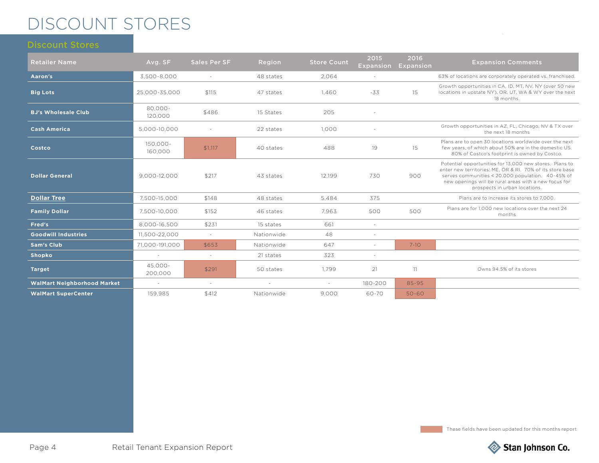## DISCOUNT STORES

| <b>Retailer Name</b>               | Avg. SF             | <b>Sales Per SF</b> | Region     | <b>Store Count</b> | 2015<br><b>Expansion</b> | 2016<br><b>Expansion</b> | <b>Expansion Comments</b>                                                                                                                                                                                                                                           |
|------------------------------------|---------------------|---------------------|------------|--------------------|--------------------------|--------------------------|---------------------------------------------------------------------------------------------------------------------------------------------------------------------------------------------------------------------------------------------------------------------|
| Aaron's                            | 3,500-8,000         | $\sim$              | 48 states  | 2,064              | $\sim$                   |                          | 63% of locations are corporately operated vs. franchised.                                                                                                                                                                                                           |
| <b>Big Lots</b>                    | 25,000-35,000       | \$115               | 47 states  | 1,460              | $-33$                    | 15                       | Growth opportunities in CA, ID, MT, NV, NY (over 50 new<br>locations in upstate NY), OR, UT, WA & WY over the next<br>18 months.                                                                                                                                    |
| <b>BJ's Wholesale Club</b>         | 80.000-<br>120,000  | \$486               | 15 States  | 205                | $\sim$                   |                          |                                                                                                                                                                                                                                                                     |
| <b>Cash America</b>                | 5,000-10,000        | $\sim$              | 22 states  | 1.000              |                          |                          | Growth opportunities in AZ, FL, Chicago, NV & TX over<br>the next 18 months                                                                                                                                                                                         |
| Costco                             | 150,000-<br>160,000 | \$1.117             | 40 states  | 488                | 19                       | 15                       | Plans are to open 30 locations worldwide over the next<br>few years, of which about 50% are in the domestic US.<br>80% of Costco's footprint is owned by Costco.                                                                                                    |
| <b>Dollar General</b>              | 9,000-12,000        | \$217               | 43 states  | 12,199             | 730                      | 900                      | Potential opportunities for 13,000 new stores. Plans to<br>enter new territories: ME, OR & RI, 70% of its store base<br>serves communities < 20,000 population. 40-45% of<br>new openings will be rural areas with a new focus for<br>prospects in urban locations. |
| <b>Dollar Tree</b>                 | 7,500-15,000        | \$148               | 48 states  | 5.484              | 375                      |                          | Plans are to increase its stores to 7.000.                                                                                                                                                                                                                          |
| <b>Family Dollar</b>               | 7,500-10,000        | \$152               | 46 states  | 7.963              | 500                      | 500                      | Plans are for 1,000 new locations over the next 24<br>months                                                                                                                                                                                                        |
| Fred's                             | 8,000-16,500        | \$231               | 15 states  | 661                | $\overline{\phantom{a}}$ |                          |                                                                                                                                                                                                                                                                     |
| <b>Goodwill Industries</b>         | 11,500-22,000       | $\sim$              | Nationwide | 48                 | $\sim$                   |                          |                                                                                                                                                                                                                                                                     |
| <b>Sam's Club</b>                  | 71,000-191,000      | \$653               | Nationwide | 647                | $\sim$                   | $7 - 10$                 |                                                                                                                                                                                                                                                                     |
| <b>Shopko</b>                      | $\sim$              | $\sim$              | 21 states  | 323                | $\sim$                   |                          |                                                                                                                                                                                                                                                                     |
| <b>Target</b>                      | 45,000-<br>200,000  | \$291               | 50 states  | 1,799              | 21                       | 11                       | Owns 94.5% of its stores                                                                                                                                                                                                                                            |
| <b>WalMart Neighborhood Market</b> | $\sim$              | $\sim$              | $\sim$     | $\sim$             | 180-200                  | 85-95                    |                                                                                                                                                                                                                                                                     |
| <b>WalMart SuperCenter</b>         | 159,985             | \$412               | Nationwide | 9,000              | 60-70                    | $50 - 60$                |                                                                                                                                                                                                                                                                     |

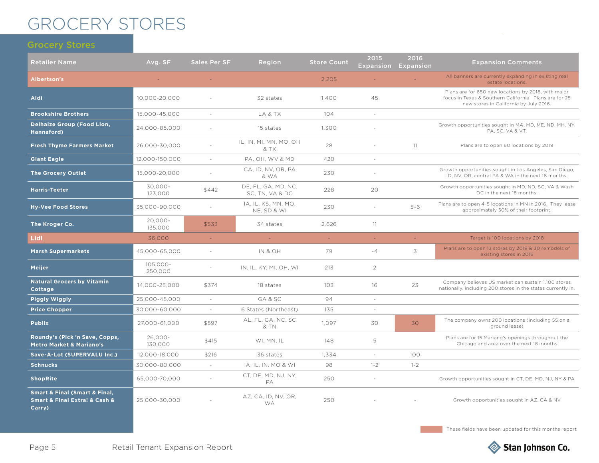## GROCERY STORES

| <b>Retailer Name</b>                                                                    | Avg. SF                | <b>Sales Per SF</b>      | Region                                 | <b>Store Count</b> | 2015<br><b>Expansion</b> | 2016<br><b>Expansion</b> | <b>Expansion Comments</b>                                                                                                                               |
|-----------------------------------------------------------------------------------------|------------------------|--------------------------|----------------------------------------|--------------------|--------------------------|--------------------------|---------------------------------------------------------------------------------------------------------------------------------------------------------|
| <b>Albertson's</b>                                                                      |                        |                          |                                        | 2,205              |                          |                          | All banners are currently expanding in existing real<br>estate locations.                                                                               |
| <b>Aldi</b>                                                                             | 10,000-20,000          |                          | 32 states                              | 1.400              | 45                       |                          | Plans are for 650 new locations by 2018, with major<br>focus in Texas & Southern California. Plans are for 25<br>new stores in California by July 2016. |
| <b>Brookshire Brothers</b>                                                              | 15,000-45,000          | $\overline{\phantom{a}}$ | LA & TX                                | 104                | $\sim$                   |                          |                                                                                                                                                         |
| <b>Delhaize Group (Food Lion,</b><br>Hannaford)                                         | 24,000-85,000          |                          | 15 states                              | 1.300              |                          |                          | Growth opportunities sought in MA, MD, ME, ND, MH, NY,<br>PA, SC, VA & VT.                                                                              |
| <b>Fresh Thyme Farmers Market</b>                                                       | 26,000-30,000          |                          | IL, IN, MI, MN, MO, OH<br>& TX         | 28                 |                          | 11                       | Plans are to open 60 locations by 2019                                                                                                                  |
| <b>Giant Eagle</b>                                                                      | 12.000-150.000         | $\sim$                   | PA, OH, WV & MD                        | 420                |                          |                          |                                                                                                                                                         |
| <b>The Grocery Outlet</b>                                                               | 15,000-20,000          | $\sim$                   | CA, ID, NV, OR, PA<br>& WA             | 230                |                          |                          | Growth opportunities sought in Los Angeles, San Diego,<br>ID, NV, OR, central PA & WA in the next 18 months.                                            |
| <b>Harris-Teeter</b>                                                                    | 30,000-<br>123,000     | \$442                    | DE, FL, GA, MD, NC,<br>SC, TN, VA & DC | 228                | 20                       |                          | Growth opportunities sought in MD, ND, SC, VA & Wash<br>DC in the next 18 months.                                                                       |
| <b>Hy-Vee Food Stores</b>                                                               | 35,000-90,000          |                          | IA, IL, KS, MN, MO,<br>NE, SD & WI     | 230                | $\sim$                   | $5 - 6$                  | Plans are to open 4-5 locations in MN in 2016. They lease<br>approximately 50% of their footprint.                                                      |
| The Kroger Co.                                                                          | $20,000 -$<br>135,000  | \$533                    | 34 states                              | 2.626              | 11                       |                          |                                                                                                                                                         |
| <b>Lidl</b>                                                                             | 36,000                 | $\sim$                   | $\omega_{\rm{eff}}$                    | $\omega$ .         | $\omega_{\rm c}$         | $\sim$                   | Target is 100 locations by 2018                                                                                                                         |
| <b>Marsh Supermarkets</b>                                                               | 45,000-65,000          | $\sim$                   | IN & OH                                | 79                 | $-4$                     | 3                        | Plans are to open 13 stores by 2018 & 30 remodels of<br>existing stores in 2016                                                                         |
| <b>Meijer</b>                                                                           | $105,000 -$<br>250,000 | $\sim$                   | IN, IL, KY, MI, OH, WI                 | 213                | $\overline{2}$           |                          |                                                                                                                                                         |
| <b>Natural Grocers by Vitamin</b><br>Cottage                                            | 14,000-25,000          | \$374                    | 18 states                              | 103                | 16                       | 23                       | Company believes US market can sustain 1,100 stores<br>nationally, including 200 stores in the states currently in.                                     |
| <b>Piggly Wiggly</b>                                                                    | 25,000-45,000          | $\sim$                   | GA & SC                                | 94                 |                          |                          |                                                                                                                                                         |
| <b>Price Chopper</b>                                                                    | 30,000-60,000          | $\sim$                   | 6 States (Northeast)                   | 135                | $\sim$                   |                          |                                                                                                                                                         |
| <b>Publix</b>                                                                           | 27,000-61,000          | \$597                    | AL, FL, GA, NC, SC<br>& TN             | 1,097              | 30                       | 30                       | The company owns 200 locations (including 55 on a<br>ground lease)                                                                                      |
| Roundy's (Pick 'n Save, Copps,<br><b>Metro Market &amp; Mariano's</b>                   | 26,000-<br>130.000     | \$415                    | WI, MN, IL                             | 148                | 5                        |                          | Plans are for 15 Mariano's openings throughout the<br>Chicagoland area over the next 18 months                                                          |
| Save-A-Lot (SUPERVALU Inc.)                                                             | 12.000-18.000          | \$216                    | 36 states                              | 1.334              | $\sim$                   | 100                      |                                                                                                                                                         |
| <b>Schnucks</b>                                                                         | 30,000-80,000          | $\sim$                   | IA, IL, IN, MO & WI                    | 98                 | $1 - 2$                  | $1 - 2$                  |                                                                                                                                                         |
| <b>ShopRite</b>                                                                         | 65,000-70,000          |                          | CT, DE, MD, NJ, NY,<br>PA              | 250                | $\sim$                   |                          | Growth opportunities sought in CT, DE, MD, NJ, NY & PA                                                                                                  |
| <b>Smart &amp; Final (Smart &amp; Final,</b><br>Smart & Final Extra! & Cash &<br>Carry) | 25.000-30.000          |                          | AZ. CA. ID. NV. OR.<br><b>WA</b>       | 250                |                          |                          | Growth opportunities sought in AZ, CA & NV                                                                                                              |

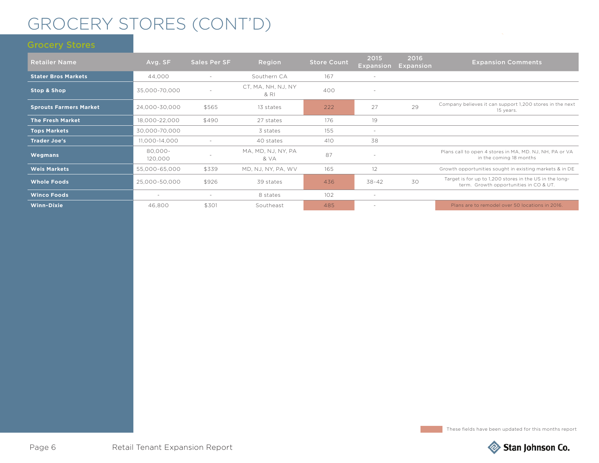## GROCERY STORES (CONT'D)

| <b>Retailer Name</b>          | Avg. SF                  | Sales Per SF             | Region                     | <b>Store Count</b> | 2015<br><b>Expansion</b> | 2016<br><b>Expansion</b> | <b>Expansion Comments</b>                                                                         |
|-------------------------------|--------------------------|--------------------------|----------------------------|--------------------|--------------------------|--------------------------|---------------------------------------------------------------------------------------------------|
| <b>Stater Bros Markets</b>    | 44,000                   |                          | Southern CA                | 167                | $\sim$                   |                          |                                                                                                   |
| <b>Stop &amp; Shop</b>        | 35,000-70,000            |                          | CT, MA, NH, NJ, NY<br>& RI | 400                | $\sim$                   |                          |                                                                                                   |
| <b>Sprouts Farmers Market</b> | 24,000-30,000            | \$565                    | 13 states                  | 222                | 27                       | 29                       | Company believes it can support 1,200 stores in the next<br>15 years.                             |
| <b>The Fresh Market</b>       | 18,000-22,000            | \$490                    | 27 states                  | 176                | 19                       |                          |                                                                                                   |
| <b>Tops Markets</b>           | 30,000-70,000            |                          | 3 states                   | 155                | $\sim$                   |                          |                                                                                                   |
| <b>Trader Joe's</b>           | 11.000-14.000            | $\overline{\phantom{0}}$ | 40 states                  | 410                | 38                       |                          |                                                                                                   |
| Wegmans                       | 80.000-<br>120,000       |                          | MA, MD, NJ, NY, PA<br>& VA | 87                 |                          |                          | Plans call to open 4 stores in MA, MD. NJ, NH, PA or VA<br>in the coming 18 months                |
| <b>Weis Markets</b>           | 55,000-65,000            | \$339                    | MD, NJ, NY, PA, WV         | 165                | 12                       |                          | Growth opportunities sought in existing markets & in DE                                           |
| <b>Whole Foods</b>            | 25,000-50,000            | \$926                    | 39 states                  | 436                | $38 - 42$                | 30                       | Target is for up to 1,200 stores in the US in the long-<br>term. Growth opportunities in CO & UT. |
| <b>Winco Foods</b>            | $\overline{\phantom{a}}$ | $\overline{\phantom{0}}$ | 8 states                   | 102                | $\sim$                   |                          |                                                                                                   |
| <b>Winn-Dixie</b>             | 46,800                   | \$301                    | Southeast                  | 485                | $\sim$                   |                          | Plans are to remodel over 50 locations in 2016.                                                   |

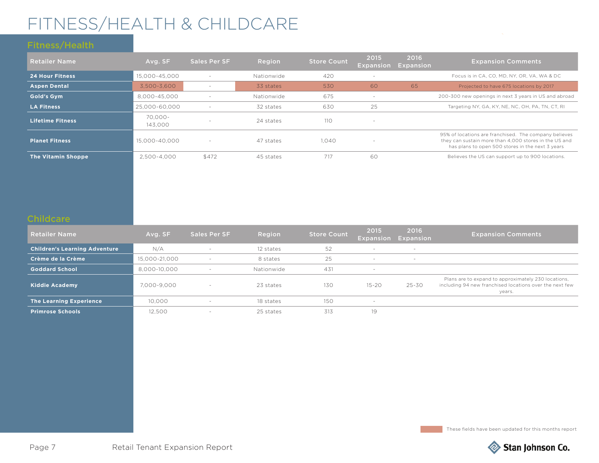## FITNESS/HEALTH & CHILDCARE

| <b>Retailer Name</b>      | Avg. SF            | <b>Sales Per SF</b>      | Region     | <b>Store Count</b> | 2015<br>Expansion        | 2016<br>Expansion | <b>Expansion Comments</b>                                                                                                                                          |
|---------------------------|--------------------|--------------------------|------------|--------------------|--------------------------|-------------------|--------------------------------------------------------------------------------------------------------------------------------------------------------------------|
| <b>24 Hour Fitness</b>    | 15.000-45.000      | $\overline{\phantom{a}}$ | Nationwide | 420                | $\overline{\phantom{a}}$ |                   | Focus is in CA, CO, MD, NY, OR, VA, WA & DC                                                                                                                        |
| <b>Aspen Dental</b>       | 3.500-3.600        |                          | 33 states  | 530                | 60                       | 65                | Projected to have 675 locations by 2017                                                                                                                            |
| <b>Gold's Gym</b>         | 8.000-45.000       |                          | Nationwide | 675                | $\sim$                   |                   | 200-300 new openings in next 3 years in US and abroad                                                                                                              |
| <b>LA Fitness</b>         | 25,000-60,000      | $\overline{\phantom{a}}$ | 32 states  | 630                | 25                       |                   | Targeting NY, GA, KY, NE, NC, OH, PA, TN, CT, RI                                                                                                                   |
| <b>Lifetime Fitness</b>   | 70.000-<br>143,000 | $\overline{\phantom{a}}$ | 24 states  | 11O                | $\overline{\phantom{a}}$ |                   |                                                                                                                                                                    |
| <b>Planet Fitness</b>     | 15,000-40,000      | $\overline{\phantom{a}}$ | 47 states  | 1.040              | $\overline{\phantom{a}}$ |                   | 95% of locations are franchised. The company believes<br>they can sustain more than 4,000 stores in the US and<br>has plans to open 500 stores in the next 3 years |
| <b>The Vitamin Shoppe</b> | 2.500-4.000        | \$472                    | 45 states  | 717                | 60                       |                   | Believes the US can support up to 900 locations.                                                                                                                   |

### **Childcare**

| <b>Retailer Name</b>                 | Avg. SF       | Sales Per SF             | Region     | <b>Store Count</b> | 2015                     | 2016<br><b>Expansion Expansion</b> | <b>Expansion Comments</b>                                                                                                |
|--------------------------------------|---------------|--------------------------|------------|--------------------|--------------------------|------------------------------------|--------------------------------------------------------------------------------------------------------------------------|
| <b>Children's Learning Adventure</b> | N/A           |                          | 12 states  | 52                 | $\sim$                   | $\sim$                             |                                                                                                                          |
| Crème de la Crème                    | 15.000-21.000 | $\sim$                   | 8 states   | 25                 | $\overline{\phantom{a}}$ | $\sim$                             |                                                                                                                          |
| <b>Goddard School</b>                | 8,000-10,000  | $\sim$                   | Nationwide | 431                | $\overline{\phantom{a}}$ |                                    |                                                                                                                          |
| Kiddie Academy (                     | 7.000-9.000   |                          | 23 states  | 130                | $15 - 20$                | $25 - 30$                          | Plans are to expand to approximately 230 locations,<br>including 94 new franchised locations over the next few<br>years. |
| <b>The Learning Experience</b>       | 10.000        |                          | 18 states  | 150                | <b>.</b>                 |                                    |                                                                                                                          |
| <b>Primrose Schools</b>              | 12.500        | $\overline{\phantom{0}}$ | 25 states  | 313                | 19                       |                                    |                                                                                                                          |



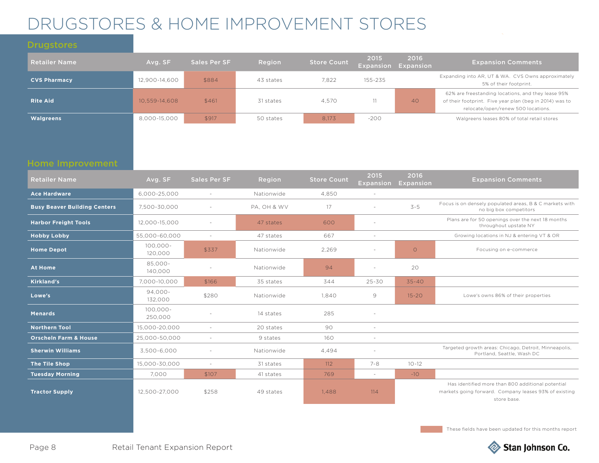## DRUGSTORES & HOME IMPROVEMENT STORES

### **Drugstores**

| <b>Retailer Name</b> | Avg. SF       | <b>Sales Per SF</b> | Region    | <b>Store Count</b> | 2015<br>Expansion | 2016<br>Expansion | <b>Expansion Comments</b>                                                                                                                           |
|----------------------|---------------|---------------------|-----------|--------------------|-------------------|-------------------|-----------------------------------------------------------------------------------------------------------------------------------------------------|
| <b>CVS Pharmacy</b>  | 12,900-14,600 | \$884               | 43 states | 7.822              | 155-235           |                   | Expanding into AR, UT & WA. CVS Owns approximately<br>5% of their footprint.                                                                        |
| <b>Rite Aid</b>      | 10.559-14.608 | \$461               | 31 states | 4.570              |                   | 40                | 62% are freestanding locations, and they lease 95%<br>of their footprint. Five year plan (beg in 2014) was to<br>relocate/open/renew 500 locations. |
| <b>Walgreens</b>     | 8.000-15.000  | \$917               | 50 states | 8.173              | $-200$            |                   | Walgreens leases 80% of total retail stores                                                                                                         |

### Home Improvement

| <b>Retailer Name</b>                | Avg. SF                | <b>Sales Per SF</b>      | Region      | <b>Store Count</b> | 2015<br><b>Expansion</b> | 2016<br>Expansion | <b>Expansion Comments</b>                                                                                                 |
|-------------------------------------|------------------------|--------------------------|-------------|--------------------|--------------------------|-------------------|---------------------------------------------------------------------------------------------------------------------------|
| <b>Ace Hardware</b>                 | 6,000-25,000           | $\sim$                   | Nationwide  | 4,850              | $\sim$                   |                   |                                                                                                                           |
| <b>Busy Beaver Building Centers</b> | 7.500-30.000           | $\overline{\phantom{a}}$ | PA. OH & WV | 17                 | $\sim$                   | $3 - 5$           | Focus is on densely populated areas, B & C markets with<br>no big box competitors                                         |
| <b>Harbor Freight Tools</b>         | 12,000-15,000          | $\sim$                   | 47 states   | 600                | $\sim$                   |                   | Plans are for 50 openings over the next 18 months<br>throughout upstate NY                                                |
| <b>Hobby Lobby</b>                  | 55,000-60,000          | $\sim$                   | 47 states   | 667                | $\sim$                   |                   | Growing locations in NJ & entering VT & OR                                                                                |
| <b>Home Depot</b>                   | $100,000 -$<br>120,000 | \$337                    | Nationwide  | 2.269              |                          | $\circ$           | Focusing on e-commerce                                                                                                    |
| At Home                             | 85,000-<br>140,000     | $\overline{\phantom{a}}$ | Nationwide  | 94                 | $\sim$                   | 20                |                                                                                                                           |
| <b>Kirkland's</b>                   | 7.000-10.000           | \$166                    | 35 states   | 344                | $25 - 30$                | $35 - 40$         |                                                                                                                           |
| Lowe's                              | 94.000-<br>132,000     | \$280                    | Nationwide  | 1.840              | 9                        | $15 - 20$         | Lowe's owns 86% of their properties                                                                                       |
| <b>Menards</b>                      | $100.000 -$<br>250,000 |                          | 14 states   | 285                |                          |                   |                                                                                                                           |
| <b>Northern Tool</b>                | 15.000-20.000          | $\sim$                   | 20 states   | 90                 | $\sim$                   |                   |                                                                                                                           |
| <b>Orscheln Farm &amp; House</b>    | 25,000-50,000          | $\overline{\phantom{a}}$ | 9 states    | 160                | $\sim$                   |                   |                                                                                                                           |
| <b>Sherwin Williams</b>             | 3,500-6,000            |                          | Nationwide  | 4.494              |                          |                   | Targeted growth areas: Chicago, Detroit, Minneapolis,<br>Portland, Seattle, Wash DC                                       |
| The Tile Shop                       | 15,000-30,000          | $\sim$                   | 31 states   | 112                | $7 - 8$                  | $10 - 12$         |                                                                                                                           |
| <b>Tuesday Morning</b>              | 7.000                  | \$107                    | 41 states   | 769                | $\sim$                   | $-10$             |                                                                                                                           |
| <b>Tractor Supply</b>               | 12,500-27,000          | \$258                    | 49 states   | 1.488              | 114                      |                   | Has identified more than 800 additional potential<br>markets going forward. Company leases 93% of existing<br>store base. |

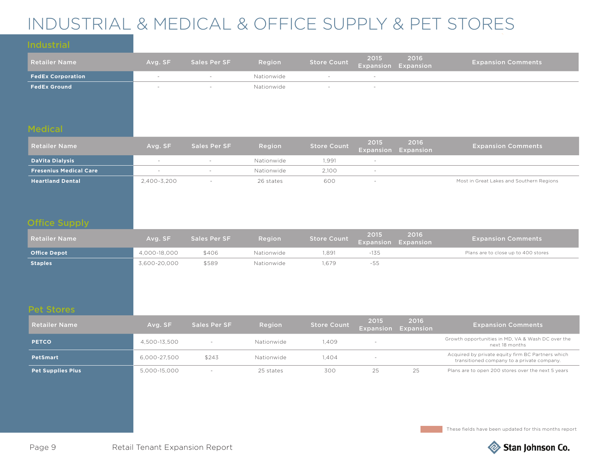## INDUSTRIAL & MEDICAL & OFFICE SUPPLY & PET STORES

| <b>Retailer Name</b>     | Avg. SF | Sales Per SF | Region     | <b>Store Count</b> |                          | 2015 2016<br>Expansion Expansion | <b>Expansion Comments</b> |
|--------------------------|---------|--------------|------------|--------------------|--------------------------|----------------------------------|---------------------------|
| <b>FedEx Corporation</b> | $\sim$  |              | Nationwide | $\sim$             | $\sim$                   |                                  |                           |
| <b>FedEx Ground</b>      |         |              | Nationwide | $\sim$             | $\overline{\phantom{0}}$ |                                  |                           |
|                          |         |              |            |                    |                          |                                  |                           |
|                          |         |              |            |                    |                          |                                  |                           |

| <b>Retailer Name</b>          | Avg. SF     | Sales Per SF | Region     | <b>Store Count</b> | 2015 | 2016<br><b>Expansion Expansion</b> | <b>Expansion Comments</b>                |
|-------------------------------|-------------|--------------|------------|--------------------|------|------------------------------------|------------------------------------------|
| DaVita Dialysis               |             |              | Nationwide | 1.991              |      |                                    |                                          |
| <b>Fresenius Medical Care</b> |             |              | Nationwide | 2.100              |      |                                    |                                          |
| <b>Heartland Dental</b>       | 2,400-3,200 |              | 26 states  | 600                |      |                                    | Most in Great Lakes and Southern Regions |

### Office Supply

| <b>Retailer Name</b> | Avg. SF      | <b>Sales Per SF</b> | Region     | Store Count | 2015<br><b>Expansion Expansion</b> | 2016 | <b>Expansion Comments</b>           |
|----------------------|--------------|---------------------|------------|-------------|------------------------------------|------|-------------------------------------|
| <b>Office Depot</b>  | 4,000-18,000 | \$406               | Nationwide | .891        | -135                               |      | Plans are to close up to 400 stores |
| <b>Staples</b>       | 3,600-20,000 | \$589               | Nationwide | .679        | -55                                |      |                                     |

| <b>Retailer Name</b>     | Avg. SF      | Sales Per SF | Region     | <b>Store Count</b> | 2015 | 2016<br>Expansion Expansion | <b>Expansion Comments</b>                                                                       |
|--------------------------|--------------|--------------|------------|--------------------|------|-----------------------------|-------------------------------------------------------------------------------------------------|
| <b>PETCO</b>             | 4,500-13,500 |              | Nationwide | ,409               |      |                             | Growth opportunities in MD, VA & Wash DC over the<br>next 18 months                             |
| <b>PetSmart</b>          | 6,000-27,500 | \$243        | Nationwide | 1.404              |      |                             | Acquired by private equity firm BC Partners which<br>transitioned company to a private company. |
| <b>Pet Supplies Plus</b> | 5,000-15,000 |              | 25 states  | 300                |      | 25                          | Plans are to open 200 stores over the next 5 years                                              |

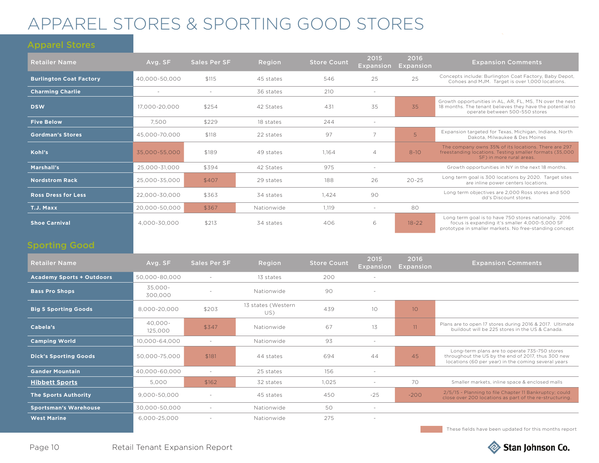## APPAREL STORES & SPORTING GOOD STORES

### Apparel Stores

| <b>Retailer Name</b>           | Avg. SF       | Sales Per SF | Region     | <b>Store Count</b> | 2015<br><b>Expansion</b> | 2016<br><b>Expansion</b> | <b>Expansion Comments</b>                                                                                                                                         |
|--------------------------------|---------------|--------------|------------|--------------------|--------------------------|--------------------------|-------------------------------------------------------------------------------------------------------------------------------------------------------------------|
| <b>Burlington Coat Factory</b> | 40,000-50,000 | \$115        | 45 states  | 546                | 25                       | 25                       | Concepts include: Burlington Coat Factory, Baby Depot,<br>Cohoes and MJM. Target is over 1,000 locations.                                                         |
| <b>Charming Charlie</b>        |               |              | 36 states  | 210                | $\sim$                   |                          |                                                                                                                                                                   |
| <b>DSW</b>                     | 17.000-20.000 | \$254        | 42 States  | 431                | 35                       | 35                       | Growth opportunities in AL, AR, FL, MS, TN over the next<br>18 months. The tenant believes they have the potential to<br>operate between 500-550 stores           |
| <b>Five Below</b>              | 7.500         | \$229        | 18 states  | 244                | $\sim$                   |                          |                                                                                                                                                                   |
| <b>Gordman's Stores</b>        | 45.000-70.000 | \$118        | 22 states  | 97                 |                          | 5                        | Expansion targeted for Texas, Michigan, Indiana, North<br>Dakota, Milwaukee & Des Moines                                                                          |
| Kohl's                         | 35.000-55.000 | \$189        | 49 states  | 1.164              | 4                        | $8 - 10$                 | The company owns 35% of its locations. There are 297<br>freestanding locations. Testing smaller formats (35,000)<br>SF) in more rural areas.                      |
| Marshall's                     | 25.000-31.000 | \$394        | 42 States  | 975                | $\sim$                   |                          | Growth opportunities in NY in the next 18 months.                                                                                                                 |
| <b>Nordstrom Rack</b>          | 25.000-35.000 | \$407        | 29 states  | 188                | 26                       | $20 - 25$                | Long term goal is 300 locations by 2020. Target sites<br>are inline power centers locations.                                                                      |
| <b>Ross Dress for Less</b>     | 22,000-30,000 | \$363        | 34 states  | 1,424              | 90                       |                          | Long term objectives are 2,000 Ross stores and 500<br>dd's Discount stores.                                                                                       |
| T.J. Maxx                      | 20,000-50,000 | \$367        | Nationwide | 1,119              | $\sim$                   | 80                       |                                                                                                                                                                   |
| <b>Shoe Carnival</b>           | 4.000-30.000  | \$213        | 34 states  | 406                | 6                        | $18 - 22$                | Long term goal is to have 750 stores nationally. 2016<br>focus is expanding it's smaller 4,000-5,000 SF<br>prototype in smaller markets. No free-standing concept |

### Sporting Good

| <b>Retailer Name</b>             | Avg. SF               | Sales Per SF | Region                    | <b>Store Count</b> | 2015<br><b>Expansion</b> | 2016<br>Expansion | <b>Expansion Comments</b>                                                                                                                                  |
|----------------------------------|-----------------------|--------------|---------------------------|--------------------|--------------------------|-------------------|------------------------------------------------------------------------------------------------------------------------------------------------------------|
| <b>Academy Sports + Outdoors</b> | 50.000-80.000         | $\sim$       | 13 states                 | 200                | $\sim$                   |                   |                                                                                                                                                            |
| <b>Bass Pro Shops</b>            | 35.000-<br>300,000    |              | Nationwide                | 90                 |                          |                   |                                                                                                                                                            |
| <b>Big 5 Sporting Goods</b>      | 8,000-20,000          | \$203        | 13 states (Western<br>US) | 439                | 10                       | 10 <sup>°</sup>   |                                                                                                                                                            |
| Cabela's                         | $40.000 -$<br>125,000 | \$347        | Nationwide                | 67                 | 13                       | 11                | Plans are to open 17 stores during 2016 & 2017. Ultimate<br>buildout will be 225 stores in the US & Canada.                                                |
| <b>Camping World</b>             | 10,000-64,000         | $\sim$       | Nationwide                | 93                 | $\sim$                   |                   |                                                                                                                                                            |
| <b>Dick's Sporting Goods</b>     | 50,000-75,000         | \$181        | 44 states                 | 694                | 44                       | 45                | Long-term plans are to operate 735-750 stores<br>throughout the US by the end of 2017, thus 300 new<br>locations (60 per year) in the coming several years |
| <b>Gander Mountain</b>           | 40,000-60,000         | $\sim$       | 25 states                 | 156                | $\sim$                   |                   |                                                                                                                                                            |
| <b>Hibbett Sports</b>            | 5,000                 | \$162        | 32 states                 | 1,025              | $\sim$                   | 70                | Smaller markets, inline space & enclosed malls                                                                                                             |
| <b>The Sports Authority</b>      | 9,000-50,000          |              | 45 states                 | 450                | $-25$                    | $-200$            | 2/5/15 - Planning to file Chapter 11 Bankruptcy; could<br>close over 200 locations as part of the re-structuring.                                          |
| <b>Sportsman's Warehouse</b>     | 30,000-50,000         |              | Nationwide                | 50                 | $\overline{\phantom{0}}$ |                   |                                                                                                                                                            |
| <b>West Marine</b>               | 6,000-25,000          |              | Nationwide                | 275                |                          |                   |                                                                                                                                                            |

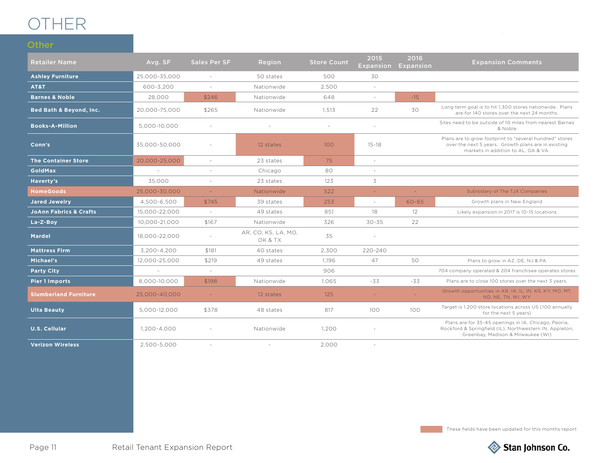## OTHER

**Other** 

| <b>Retailer Name</b>               | Avg. SF       | <b>Sales Per SF</b> | Region                         | <b>Store Count</b> | 2015<br><b>Expansion</b> | 2016<br>Expansion | <b>Expansion Comments</b>                                                                                                                             |
|------------------------------------|---------------|---------------------|--------------------------------|--------------------|--------------------------|-------------------|-------------------------------------------------------------------------------------------------------------------------------------------------------|
| <b>Ashley Furniture</b>            | 25,000-35,000 | $\sim$              | 50 states                      | 500                | 30                       |                   |                                                                                                                                                       |
| AT&T                               | 600-3,200     | $\sim$              | Nationwide                     | 2,500              | $\sim$                   |                   |                                                                                                                                                       |
| <b>Barnes &amp; Noble</b>          | 28,000        | \$246               | Nationwide                     | 648                | $\sim$                   | $-15$             |                                                                                                                                                       |
| <b>Bed Bath &amp; Beyond, Inc.</b> | 20,000-75,000 | \$265               | Nationwide                     | 1,513              | 22                       | 30                | Long term goal is to hit 1,300 stores nationwide. Plans<br>are for 140 stores over the next 24 months.                                                |
| <b>Books-A-Million</b>             | 5,000-10,000  | $\sim$              |                                | $\sim$             | $\sim$                   |                   | Sites need to be outside of 10 miles from nearest Barnes<br>& Noble                                                                                   |
| Conn's                             | 35,000-50,000 |                     | 100<br>12 states               |                    | $15 - 18$                |                   | Plans are to grow footprint to "several hundred" stores<br>over the next 5 years. Growth plans are in existing<br>markets in addition to AL. GA & VA. |
| <b>The Container Store</b>         | 20,000-25,000 | $\sim$              | 23 states                      | 75                 | $\sim$                   |                   |                                                                                                                                                       |
| <b>GoldMax</b>                     | $\sim$        | $\sim$              | Chicago                        | 80                 | $\sim$                   |                   |                                                                                                                                                       |
| Haverty's                          | 35,000        | $\sim$              | 23 states                      | 123                | 3                        |                   |                                                                                                                                                       |
| <b>HomeGoods</b>                   | 25,000-30,000 | $\sim$              | Nationwide                     | 522                | $\omega$                 | $\omega$          | Subisidary of The TJX Companies                                                                                                                       |
| <b>Jared Jewelry</b>               | 4,500-6,500   | \$745               | 39 states                      | 253                | $\sim$                   | $60 - 65$         | Growth plans in New England                                                                                                                           |
| <b>JoAnn Fabrics &amp; Crafts</b>  | 15,000-22,000 | $\sim$              | 49 states                      | 851                | 18                       | 12                | Likely expansion in 2017 is 10-15 locations                                                                                                           |
| La-Z-Boy                           | 10,000-21,000 | \$167               | Nationwide                     | 326                | $30 - 35$                | 22                |                                                                                                                                                       |
| <b>Mardel</b>                      | 18,000-22,000 | $\sim$              | AR, CO, KS, LA, MO,<br>OK & TX | 35                 | $\sim$                   |                   |                                                                                                                                                       |
| <b>Mattress Firm</b>               | 3,200-4,200   | \$181               | 40 states                      | 2,300              | 220-240                  |                   |                                                                                                                                                       |
| Michael's                          | 12,000-25,000 | \$219               | 49 states                      | 1.196              | 47                       | 50                | Plans to grow in AZ, DE, NJ & PA                                                                                                                      |
| <b>Party City</b>                  |               | $\sim$              |                                | 906                |                          |                   | 704 company operated & 204 franchisee operates stores                                                                                                 |
| Pier 1 Imports                     | 8,000-10,000  | \$198               | Nationwide                     | 1,065              | $-33$                    | -33               | Plans are to close 100 stores over the next 3 years.                                                                                                  |
| <b>Slumberland Furniture</b>       | 25,000-40,000 | $\sim$              | 12 states                      | 125                | $\sim$                   |                   | Growth opportunities in AR, IA, IL, IN, KS, KY, MO, MT,<br>ND, NE, TN, WI, WY                                                                         |
| <b>Ulta Beauty</b>                 | 5,000-12,000  | \$378               | 48 states                      | 817                | 100                      | 100               | Target is 1,200 store locations across US (100 annually<br>for the next 5 years)                                                                      |
| <b>U.S. Cellular</b>               | 1,200-4,000   |                     | Nationwide                     | 1,200              |                          |                   | Plans are for 35-45 openings in IA, Chicago, Peoria,<br>Rockford & Springfield (IL), Northwestern IN, Appleton,<br>Greenbay, Madison & Milwaukee (WI) |
| <b>Verizon Wireless</b>            | 2,500-5,000   |                     |                                | 2,000              |                          |                   |                                                                                                                                                       |

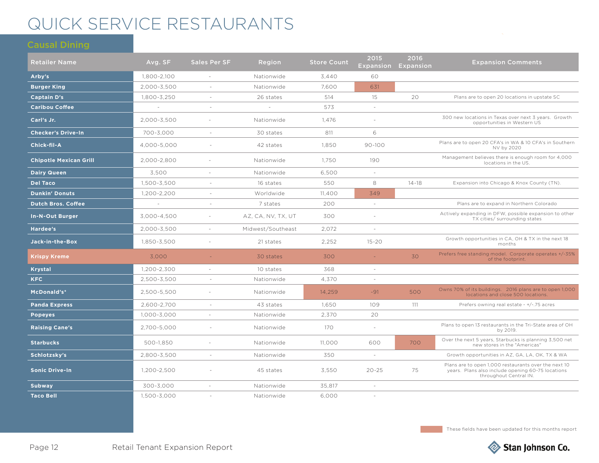## QUICK SERVICE RESTAURANTS

| <b>Retailer Name</b>          | Avg. SF     | <b>Sales Per SF</b>      | Region             | <b>Store Count</b> | 2015<br><b>Expansion</b> | 2016<br>Expansion | <b>Expansion Comments</b>                                                                                                           |
|-------------------------------|-------------|--------------------------|--------------------|--------------------|--------------------------|-------------------|-------------------------------------------------------------------------------------------------------------------------------------|
| Arby's                        | 1.800-2.100 |                          | Nationwide         | 3.440              | 60                       |                   |                                                                                                                                     |
| <b>Burger King</b>            | 2,000-3,500 |                          | Nationwide         | 7.600              | 631                      |                   |                                                                                                                                     |
| <b>Captain D's</b>            | 1,800-3,250 |                          | 26 states          | 514                | 15                       | 20                | Plans are to open 20 locations in upstate SC                                                                                        |
| <b>Caribou Coffee</b>         | $\sim$      | $\overline{\phantom{a}}$ | $\sim$             | 573                | $\sim$                   |                   |                                                                                                                                     |
| Carl's Jr.                    | 2,000-3,500 | ٠                        | Nationwide         | 1.476              |                          |                   | 300 new locations in Texas over next 3 years. Growth<br>opportunities in Western US                                                 |
| <b>Checker's Drive-In</b>     | 700-3,000   | $\sim$                   | 30 states          | 811                | 6                        |                   |                                                                                                                                     |
| Chick-fil-A                   | 4,000-5,000 | $\sim$                   | 42 states          | 1,850              | $90 - 100$               |                   | Plans are to open 20 CFA's in WA & 10 CFA's in Southern<br>NV by 2020                                                               |
| <b>Chipotle Mexican Grill</b> | 2,000-2,800 | ÷,                       | Nationwide         | 1,750              | 190                      |                   | Management believes there is enough room for 4,000<br>locations in the US.                                                          |
| <b>Dairy Queen</b>            | 3.500       | $\sim$                   | Nationwide         | 6,500              | $\omega$                 |                   |                                                                                                                                     |
| <b>Del Taco</b>               | 1,500-3,500 |                          | 16 states          | 550                | 8                        | $14 - 18$         | Expansion into Chicago & Knox County (TN).                                                                                          |
| <b>Dunkin' Donuts</b>         | 1,200-2,200 | $\sim$                   | Worldwide          | 11,400             | 349                      |                   |                                                                                                                                     |
| <b>Dutch Bros. Coffee</b>     |             |                          | 7 states           | 200                | $\sim$                   |                   | Plans are to expand in Northern Colorado                                                                                            |
| <b>In-N-Out Burger</b>        | 3,000-4,500 | ÷.                       | AZ, CA, NV, TX, UT | 300                | $\sim$                   |                   | Actively expanding in DFW, possible expansion to other<br>TX cities/ surrounding states                                             |
| Hardee's                      | 2,000-3,500 | $\overline{\phantom{a}}$ | Midwest/Southeast  | 2,072              | $\omega$                 |                   |                                                                                                                                     |
| Jack-in-the-Box               | 1,850-3,500 | $\sim$                   | 21 states          | 2.252              | $15 - 20$                |                   | Growth opportunities in CA, OH & TX in the next 18<br>months                                                                        |
| <b>Krispy Kreme</b>           | 3.000       |                          | 30 states          | 300                | $\omega$                 | 30                | Prefers free standing model. Corporate operates +/-35%<br>of the footprint.                                                         |
| <b>Krystal</b>                | 1,200-2,300 | $\sim$                   | 10 states          | 368                | $\omega$                 |                   |                                                                                                                                     |
| <b>KFC</b>                    | 2,500-3,500 | $\overline{\phantom{a}}$ | Nationwide         | 4,370              | $\omega$                 |                   |                                                                                                                                     |
| McDonald's*                   | 2,500-5,500 | ÷,                       | Nationwide         | 14,259             | $-91$                    | 500               | Owns 70% of its buildings. 2016 plans are to open 1,000<br>locations and close 500 locations.                                       |
| <b>Panda Express</b>          | 2,600-2,700 |                          | 43 states          | 1,650              | 109                      | 111               | Prefers owning real estate - +/-.75 acres                                                                                           |
| <b>Popeyes</b>                | 1,000-3,000 | $\sim$                   | Nationwide         | 2,370              | 20                       |                   |                                                                                                                                     |
| <b>Raising Cane's</b>         | 2,700-5,000 | $\sim$                   | Nationwide         | 170                | $\omega$                 |                   | Plans to open 13 restaurants in the Tri-State area of OH<br>by 2019.                                                                |
| <b>Starbucks</b>              | 500-1,850   |                          | Nationwide         | 11,000             | 600                      | 700               | Over the next 5 years, Starbucks is planning 3,500 net<br>new stores in the "Americas"                                              |
| Schlotzsky's                  | 2,800-3,500 | $\sim$                   | Nationwide         | 350                | $\sim$                   |                   | Growth opportunities in AZ, GA, LA, OK, TX & WA                                                                                     |
| <b>Sonic Drive-In</b>         | 1,200-2,500 |                          | 45 states          | 3,550              | $20 - 25$                | 75                | Plans are to open 1,000 restaurants over the next 10<br>years. Plans also include opening 60-75 locations<br>throughout Central IN. |
| <b>Subway</b>                 | 300-3,000   | ÷,                       | Nationwide         | 35,817             | $\sim$                   |                   |                                                                                                                                     |
| <b>Taco Bell</b>              | 1,500-3,000 |                          | Nationwide         | 6,000              | $\sim$                   |                   |                                                                                                                                     |

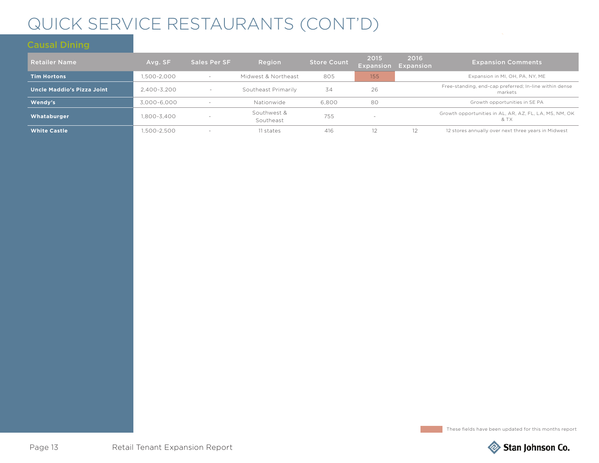## QUICK SERVICE RESTAURANTS (CONT'D)

| <b>Retailer Name</b>              | Avg. SF     | <b>Sales Per SF</b>      | Region                   | <b>Store Count</b> | 2015<br><b>Expansion</b> | 2016<br>Expansion | <b>Expansion Comments</b>                                         |
|-----------------------------------|-------------|--------------------------|--------------------------|--------------------|--------------------------|-------------------|-------------------------------------------------------------------|
| <b>Tim Hortons</b>                | 1,500-2,000 | $\overline{\phantom{a}}$ | Midwest & Northeast      | 805                | 155                      |                   | Expansion in MI, OH, PA, NY, ME                                   |
| <b>Uncle Maddio's Pizza Joint</b> | 2.400-3.200 | $\overline{\phantom{a}}$ | Southeast Primarily      | 34                 | 26                       |                   | Free-standing, end-cap preferred; In-line within dense<br>markets |
| Wendy's                           | 3,000-6,000 | $\overline{\phantom{a}}$ | Nationwide               | 6,800              | 80                       |                   | Growth opportunities in SE PA                                     |
| Whataburger                       | 1.800-3.400 | $\overline{\phantom{a}}$ | Southwest &<br>Southeast | 755                |                          |                   | Growth opportunities in AL, AR, AZ, FL, LA, MS, NM, OK<br>& TX    |
| <b>White Castle</b>               | ,500-2,500  | $\overline{\phantom{a}}$ | 11 states                | 416                | 12                       | 12                | 12 stores annually over next three years in Midwest               |

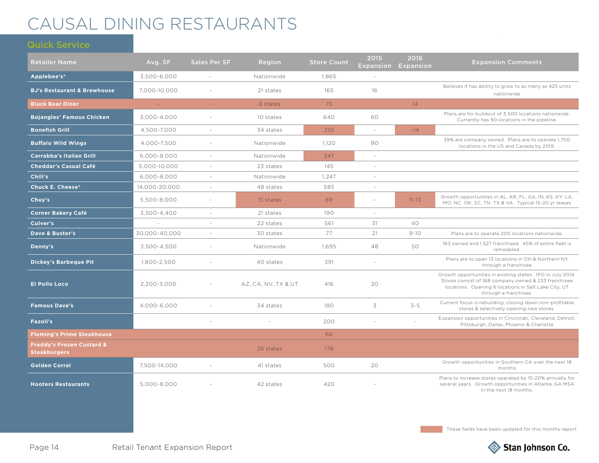## CAUSAL DINING RESTAURANTS

| <b>Retailer Name</b>                                        | Avg. SF       | <b>Sales Per SF</b> | Region              | <b>Store Count</b> | 2015     | 2016<br><b>Expansion Expansion</b> | <b>Expansion Comments</b>                                                                                                                                                                           |
|-------------------------------------------------------------|---------------|---------------------|---------------------|--------------------|----------|------------------------------------|-----------------------------------------------------------------------------------------------------------------------------------------------------------------------------------------------------|
| Applebee's*                                                 | 3.500-6.000   |                     | Nationwide          | 1.865              |          |                                    |                                                                                                                                                                                                     |
| <b>BJ's Restaurant &amp; Brewhouse</b>                      | 7,000-10,000  |                     | 21 states           | 165                | 16       |                                    | Believes it has ability to grow to as many as 425 units<br>nationwide                                                                                                                               |
| <b>Black Bear Diner</b>                                     | $\sim$        | $\omega$ .          | 8 states            | 75                 |          | 14                                 |                                                                                                                                                                                                     |
| <b>Bojangles' Famous Chicken</b>                            | 3.000-4.000   | $\sim$              | 10 states           | 640                | 60       |                                    | Plans are for buildout of 3.500 locations nationwide.<br>Currently has 90 locations in the pipeline.                                                                                                |
| <b>Bonefish Grill</b>                                       | 4,500-7,000   | $\sim$              | 34 states           | 210                | $\omega$ | $-14$                              |                                                                                                                                                                                                     |
| <b>Buffalo Wild Wings</b>                                   | 4,000-7,500   | $\sim$              | Nationwide          | 1,120              | 90       |                                    | 39% are company owned. Plans are to operate 1,700<br>locations in the US and Canada by 2019.                                                                                                        |
| <b>Carrabba's Italian Grill</b>                             | 6,000-8,000   | $\sim$              | Nationwide          | 247                | $\sim$   |                                    |                                                                                                                                                                                                     |
| <b>Cheddar's Casual Café</b>                                | 5,000-10,000  | $\sim$              | 23 states           | 145                | $\sim$   |                                    |                                                                                                                                                                                                     |
| Chili's                                                     | 6,000-8,000   | $\sim$              | Nationwide          | 1.247              | $\sim$   |                                    |                                                                                                                                                                                                     |
| <b>Chuck E. Cheese*</b>                                     | 14,000-20,000 | $\sim$              | 48 states           | 585                | $\sim$   |                                    |                                                                                                                                                                                                     |
| Chuy's                                                      | 5,500-8,000   | $\sim$              | 15 states           | 69                 | $\sim$   | $11 - 13$                          | Growth opportunities in AL, AR, FL, GA, IN, KS, KY, LA,<br>MO, NC, OK, SC, TN, TX & VA. Typical 15-20 yr leases                                                                                     |
| <b>Corner Bakery Café</b>                                   | 3.500-4.400   | $\sim$              | 21 states           | 190                | $\sim$   |                                    |                                                                                                                                                                                                     |
| Culver's                                                    |               |                     | 22 states           | 561                | 31       | 40                                 |                                                                                                                                                                                                     |
| Dave & Buster's                                             | 30,000-40,000 |                     | 30 states           | 77                 | 21       | $9 - 10$                           | Plans are to operate 200 locations nationwide.                                                                                                                                                      |
| Denny's                                                     | 3,500-4,500   |                     | Nationwide          | 1,695              | 48       | 50                                 | 163 owned and 1,527 franchised. 45% of entire fleet is<br>remodeled.                                                                                                                                |
| <b>Dickey's Barbeque Pit</b>                                | 1,800-2,500   |                     | 40 states           | 391                | $\sim$   |                                    | Plans are to open 13 locations in OH & Northern NY<br>through a franchisee                                                                                                                          |
| <b>El Pollo Loco</b>                                        | 2,200-3,000   |                     | AZ, CA, NV, TX & UT | 416                | 20       |                                    | Growth opportunities in existing states. IPO in July 2014.<br>Stores consist of 168 company owned & 233 franchisee<br>locations. Opening 6 locations in Salt Lake City, UT<br>through a franchisee. |
| <b>Famous Dave's</b>                                        | 4,000-6,000   |                     | 34 states           | 180                | 3        | $3 - 5$                            | Current focus is rebuilding; closing down non-profitable<br>stores & selectively opening new stores.                                                                                                |
| Fazoli's                                                    |               |                     |                     | 200                |          |                                    | Expansion opportunities in Cincinnati, Cleveland, Detroit,<br>Pittsburgh, Dallas, Phoenix & Charlotte                                                                                               |
| <b>Fleming's Prime Steakhouse</b>                           |               |                     |                     | 66                 |          |                                    |                                                                                                                                                                                                     |
| <b>Freddy's Frozen Custard &amp;</b><br><b>Steakburgers</b> |               |                     | 26 states           | 178                |          |                                    |                                                                                                                                                                                                     |
| <b>Golden Corral</b>                                        | 7,500-14,000  |                     | 41 states           | 500                | 20       |                                    | Growth opportunities in Southern CA over the next 18<br>months                                                                                                                                      |
| <b>Hooters Restaurants</b>                                  | 5,000-8,000   |                     | 42 states           | 420                |          |                                    | Plans to increase stores operated by 15-20% annually for<br>several years. Growth opportunities in Atlanta, GA MSA<br>in the next 18 months.                                                        |

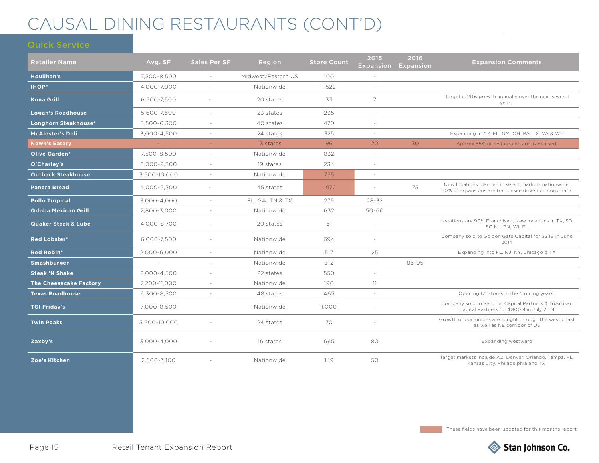## CAUSAL DINING RESTAURANTS (CONT'D)

| <b>Retailer Name</b>           | Avg. SF      | <b>Sales Per SF</b> | Region             | <b>Store Count</b>    | 2015<br><b>Expansion</b> | 2016<br>Expansion | <b>Expansion Comments</b>                                                                                     |
|--------------------------------|--------------|---------------------|--------------------|-----------------------|--------------------------|-------------------|---------------------------------------------------------------------------------------------------------------|
| Houlihan's                     | 7,500-8,500  | $\sim$              | Midwest/Eastern US | 100                   | $\sim$                   |                   |                                                                                                               |
| <b>IHOP*</b>                   | 4,000-7,000  | $\sim$              | Nationwide         | 1,522                 | $\sim$                   |                   |                                                                                                               |
| <b>Kona Grill</b>              | 6,500-7,500  | $\sim$              | 20 states          | 33                    | $\overline{7}$           |                   | Target is 20% growth annually over the next several<br>years.                                                 |
| <b>Logan's Roadhouse</b>       | 5,600-7,500  | $\sim$              | 23 states          | 235                   | $\sim$                   |                   |                                                                                                               |
| Longhorn Steakhouse*           | 5,500-6,300  |                     | 40 states          | 470                   | ÷                        |                   |                                                                                                               |
| <b>McAlester's Deli</b>        | 3,000-4,500  | $\sim$              | 24 states          | 325                   | $\sim$                   |                   | Expanding in AZ, FL, NM, OH, PA, TX, VA & WY                                                                  |
| <b>Newk's Eatery</b>           | $\sim$       | ÷.                  | 13 states          | 96                    | 20                       | 30                | Approx 85% of restaurants are franchised.                                                                     |
| <b>Olive Garden*</b>           | 7,500-8,500  | $\sim$              | Nationwide         | 832                   | $\sim$                   |                   |                                                                                                               |
| O'Charley's                    | 6,000-9,300  | $\sim$              | 19 states          | 234                   | $\sim$                   |                   |                                                                                                               |
| <b>Outback Steakhouse</b>      | 3,500-10,000 | $\sim$              | Nationwide         | 755                   | $\sim$                   |                   |                                                                                                               |
| <b>Panera Bread</b>            | 4,000-5,300  | $\sim$              | 45 states          | 1,972<br>75<br>$\sim$ |                          |                   | New locations planned in select markets nationwide.<br>50% of expansions are franchisee driven vs. corporate. |
| <b>Pollo Tropical</b>          | 3,000-4,000  | $\sim$              | FL, GA, TN & TX    | 275                   | $28 - 32$                |                   |                                                                                                               |
| <b>Qdoba Mexican Grill</b>     | 2,800-3,000  |                     | Nationwide         | 632                   | $50 - 60$                |                   |                                                                                                               |
| <b>Quaker Steak &amp; Lube</b> | 4,000-8,700  |                     | 20 states          | 61                    | ÷.                       |                   | Locations are 90% Franchised, New locations in TX, SD,<br>SC, NJ, PN, WI, FL                                  |
| <b>Red Lobster*</b>            | 6,000-7,500  | $\sim$              | Nationwide         | 694                   | $\sim$                   |                   | Company sold to Golden Gate Capital for \$2.1B in June<br>2014                                                |
| Red Robin*                     | 2,000-6,000  | $\sim$              | Nationwide         | 517                   | 25                       |                   | Expanding into FL, NJ, NY, Chicago & TX                                                                       |
| Smashburger                    |              |                     | Nationwide         | 312                   | $\sim$                   | 85-95             |                                                                                                               |
| <b>Steak 'N Shake</b>          | 2.000-4.500  |                     | 22 states          | 550                   | $\sim$                   |                   |                                                                                                               |
| <b>The Cheesecake Factory</b>  | 7.200-11.000 | $\sim$              | Nationwide         | 190                   | 11                       |                   |                                                                                                               |
| <b>Texas Roadhouse</b>         | 6,300-8,500  |                     | 48 states          | 465                   | $\overline{a}$           |                   | Opening 171 stores in the "coming years"                                                                      |
| <b>TGI Friday's</b>            | 7,000-8,500  |                     | Nationwide         | 1,000                 | ÷.                       |                   | Company sold to Sentinel Capital Partners & TriArtisan<br>Capital Partners for \$800M in July 2014            |
| <b>Twin Peaks</b>              | 5,500-10,000 | $\sim$              | 24 states          | 70                    | $\sim$                   |                   | Growth opportunities are sought through the west coast<br>as well as NE corridor of US                        |
| Zaxby's                        | 3,000-4,000  |                     | 16 states          | 665                   | 80                       |                   | Expanding westward                                                                                            |
| Zoe's Kitchen                  | 2.600-3.100  |                     | Nationwide         | 149                   | 50                       |                   | Target markets include AZ, Denver, Orlando, Tampa, FL,<br>Kansas City, Philadelphia and TX.                   |

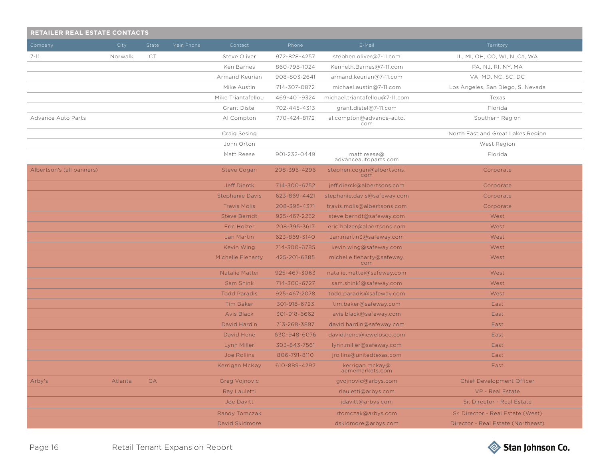| RETAILER REAL ESTATE CONTACTS |         |       |            |                        |              |                                     |                                    |
|-------------------------------|---------|-------|------------|------------------------|--------------|-------------------------------------|------------------------------------|
| Company                       | City    | State | Main Phone | Contact                | Phone        | E-Mail                              | Territory                          |
| $7 - 11$                      | Norwalk | CT    |            | Steve Oliver           | 972-828-4257 | stephen.oliver@7-11.com             | IL, MI, OH, CO, WI, N. Ca, WA      |
|                               |         |       |            | Ken Barnes             | 860-798-1024 | Kenneth.Barnes@7-11.com             | PA, NJ, RI, NY, MA                 |
|                               |         |       |            | Armand Keurian         | 908-803-2641 | armand.keurian@7-11.com             | VA, MD, NC, SC, DC                 |
|                               |         |       |            | Mike Austin            | 714-307-0872 | michael.austin@7-11.com             | Los Angeles, San Diego, S. Nevada  |
|                               |         |       |            | Mike Triantafellou     | 469-401-9324 | michael.triantafellou@7-11.com      | Texas                              |
|                               |         |       |            | Grant Distel           | 702-445-4313 | grant.distel@7-11.com               | Florida                            |
| Advance Auto Parts            |         |       |            | Al Compton             | 770-424-8172 | al.compton@advance-auto.<br>com     | Southern Region                    |
|                               |         |       |            | Craig Sesing           |              |                                     | North East and Great Lakes Region  |
|                               |         |       |            | John Orton             |              |                                     | West Region                        |
|                               |         |       |            | Matt Reese             | 901-232-0449 | matt.reese@<br>advanceautoparts.com | Florida                            |
| Albertson's (all banners)     |         |       |            | <b>Steve Cogan</b>     | 208-395-4296 | stephen.cogan@albertsons.<br>com    | Corporate                          |
|                               |         |       |            | <b>Jeff Dierck</b>     | 714-300-6752 | jeff.dierck@albertsons.com          | Corporate                          |
|                               |         |       |            | <b>Stephanie Davis</b> | 623-869-4421 | stephanie.davis@safeway.com         | Corporate                          |
|                               |         |       |            | <b>Travis Molis</b>    | 208-395-4371 | travis.molis@albertsons.com         | Corporate                          |
|                               |         |       |            | <b>Steve Berndt</b>    | 925-467-2232 | steve.berndt@safeway.com            | West                               |
|                               |         |       |            | Eric Holzer            | 208-395-3617 | eric.holzer@albertsons.com          | West                               |
|                               |         |       |            | Jan Martin             | 623-869-3140 | Jan.martin3@safeway.com             | West                               |
|                               |         |       |            | Kevin Wing             | 714-300-6785 | kevin.wing@safeway.com              | West                               |
|                               |         |       |            | Michelle Fleharty      | 425-201-6385 | michelle.fleharty@safeway.<br>com   | West                               |
|                               |         |       |            | Natalie Mattei         | 925-467-3063 | natalie.mattei@safeway.com          | West                               |
|                               |         |       |            | Sam Shink              | 714-300-6727 | sam.shink1@safeway.com              | West                               |
|                               |         |       |            | <b>Todd Paradis</b>    | 925-467-2078 | todd.paradis@safeway.com            | West                               |
|                               |         |       |            | <b>Tim Baker</b>       | 301-918-6723 | tim.baker@safeway.com               | East                               |
|                               |         |       |            | <b>Avis Black</b>      | 301-918-6662 | avis.black@safeway.com              | East                               |
|                               |         |       |            | David Hardin           | 713-268-3897 | david.hardin@safeway.com            | East                               |
|                               |         |       |            | David Hene             | 630-948-6076 | david.hene@jewelosco.com            | East                               |
|                               |         |       |            | Lynn Miller            | 303-843-7561 | lynn.miller@safeway.com             | East                               |
|                               |         |       |            | Joe Rollins            | 806-791-8110 | jrollins@unitedtexas.com            | East                               |
|                               |         |       |            | Kerrigan McKay         | 610-889-4292 | kerrigan.mckay@<br>acmemarkets.com  | East                               |
| Arby's                        | Atlanta | GA    |            | Greg Vojnovic          |              | gvojnovic@arbys.com                 | <b>Chief Development Officer</b>   |
|                               |         |       |            | Ray Lauletti           |              | rlauletti@arbys.com                 | VP - Real Estate                   |
|                               |         |       |            | Joe Davitt             |              | jdavitt@arbys.com                   | Sr. Director - Real Estate         |
|                               |         |       |            | Randy Tomczak          |              | rtomczak@arbys.com                  | Sr. Director - Real Estate (West)  |
|                               |         |       |            | David Skidmore         |              | dskidmore@arbys.com                 | Director - Real Estate (Northeast) |

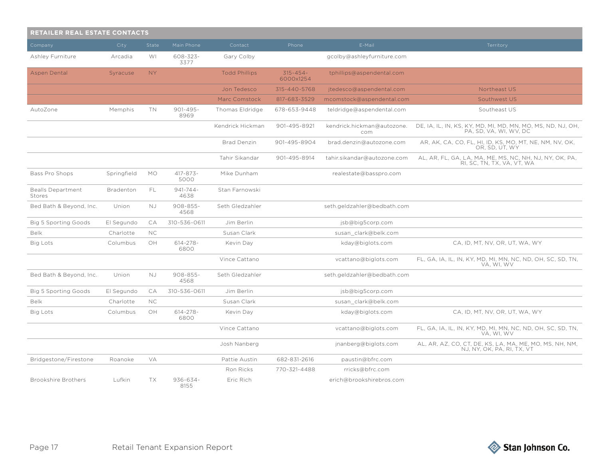| <b>RETAILER REAL ESTATE CONTACTS</b> |             |           |                       |                      |                            |                                   |                                                                                       |  |  |  |  |
|--------------------------------------|-------------|-----------|-----------------------|----------------------|----------------------------|-----------------------------------|---------------------------------------------------------------------------------------|--|--|--|--|
| Company                              | City        | State     | Main Phone            | Contact              | Phone                      | E-Mail                            | Territory                                                                             |  |  |  |  |
| Ashley Furniture                     | Arcadia     | WI        | 608-323-<br>3377      | Gary Colby           |                            | gcolby@ashleyfurniture.com        |                                                                                       |  |  |  |  |
| Aspen Dental                         | Syracuse    | <b>NY</b> |                       | <b>Todd Phillips</b> | $315 - 454 -$<br>6000x1254 | tphillips@aspendental.com         |                                                                                       |  |  |  |  |
|                                      |             |           |                       | Jon Tedesco          | 315-440-5768               | jtedesco@aspendental.com          | Northeast US                                                                          |  |  |  |  |
|                                      |             |           |                       | Marc Comstock        | 817-683-3529               | mcomstock@aspendental.com         | Southwest US                                                                          |  |  |  |  |
| AutoZone                             | Memphis     | TN        | $901 - 495 -$<br>8969 | Thomas Eldridge      | 678-653-9448               | teldridge@aspendental.com         | Southeast US                                                                          |  |  |  |  |
|                                      |             |           |                       | Kendrick Hickman     | 901-495-8921               | kendrick.hickman@autozone.<br>com | DE, IA, IL, IN, KS, KY, MD, MI, MD, MN, MO, MS, ND, NJ, OH,<br>PA, SD, VA, WI, WV, DC |  |  |  |  |
|                                      |             |           |                       | <b>Brad Denzin</b>   | 901-495-8904               | brad.denzin@autozone.com          | AR, AK, CA, CO, FL, HI, ID, KS, MO, MT, NE, NM, NV, OK,<br>OR, SD, UT, WY             |  |  |  |  |
|                                      |             |           |                       | Tahir Sikandar       | 901-495-8914               | tahir.sikandar@autozone.com       | AL, AR, FL, GA, LA, MA, ME, MS, NC, NH, NJ, NY, OK, PA,<br>RI, SC, TN, TX, VA, VT, WA |  |  |  |  |
| Bass Pro Shops                       | Springfield | <b>MO</b> | 417-873-<br>5000      | Mike Dunham          |                            | realestate@basspro.com            |                                                                                       |  |  |  |  |
| <b>Bealls Department</b><br>Stores   | Bradenton   | FL        | $941 - 744 -$<br>4638 | Stan Farnowski       |                            |                                   |                                                                                       |  |  |  |  |
| Bed Bath & Beyond, Inc.              | Union       | NJ.       | $908 - 855 -$<br>4568 | Seth Gledzahler      |                            | seth.geldzahler@bedbath.com       |                                                                                       |  |  |  |  |
| <b>Big 5 Sporting Goods</b>          | El Segundo  | СA        | 310-536-0611          | Jim Berlin           |                            | jsb@big5corp.com                  |                                                                                       |  |  |  |  |
| <b>Belk</b>                          | Charlotte   | NC.       |                       | Susan Clark          |                            | susan clark@belk.com              |                                                                                       |  |  |  |  |
| <b>Big Lots</b>                      | Columbus    | OH        | $614 - 278 -$<br>6800 | Kevin Day            |                            | kday@biglots.com                  | CA, ID, MT, NV, OR, UT, WA, WY                                                        |  |  |  |  |
|                                      |             |           |                       | Vince Cattano        |                            | vcattano@biglots.com              | FL, GA, IA, IL, IN, KY, MD, MI, MN, NC, ND, OH, SC, SD, TN,<br>VA, WI, WV             |  |  |  |  |
| Bed Bath & Beyond, Inc.              | Union       | NJ.       | $908 - 855 -$<br>4568 | Seth Gledzahler      |                            | seth.geldzahler@bedbath.com       |                                                                                       |  |  |  |  |
| <b>Big 5 Sporting Goods</b>          | El Segundo  | CA        | 310-536-0611          | Jim Berlin           |                            | jsb@big5corp.com                  |                                                                                       |  |  |  |  |
| Belk                                 | Charlotte   | <b>NC</b> |                       | Susan Clark          |                            | susan clark@belk.com              |                                                                                       |  |  |  |  |
| Big Lots                             | Columbus    | ОH        | $614 - 278 -$<br>6800 | Kevin Day            |                            | kday@biglots.com                  | CA, ID, MT, NV, OR, UT, WA, WY                                                        |  |  |  |  |
|                                      |             |           |                       | Vince Cattano        |                            | vcattano@biglots.com              | FL, GA, IA, IL, IN, KY, MD, MI, MN, NC, ND, OH, SC, SD, TN,<br>VA, WI, WV             |  |  |  |  |
|                                      |             |           |                       | Josh Nanberg         |                            | jnanberg@biglots.com              | AL, AR, AZ, CO, CT, DE, KS, LA, MA, ME, MO, MS, NH, NM,<br>NJ, NY, OK, PA, RI, TX, VT |  |  |  |  |
| Bridgestone/Firestone                | Roanoke     | VA        |                       | Pattie Austin        | 682-831-2616               | paustin@bfrc.com                  |                                                                                       |  |  |  |  |
|                                      |             |           |                       | Ron Ricks            | 770-321-4488               | rricks@bfrc.com                   |                                                                                       |  |  |  |  |
| <b>Brookshire Brothers</b>           | Lufkin      | TX        | $936 - 634 -$<br>8155 | Eric Rich            |                            | erich@brookshirebros.com          |                                                                                       |  |  |  |  |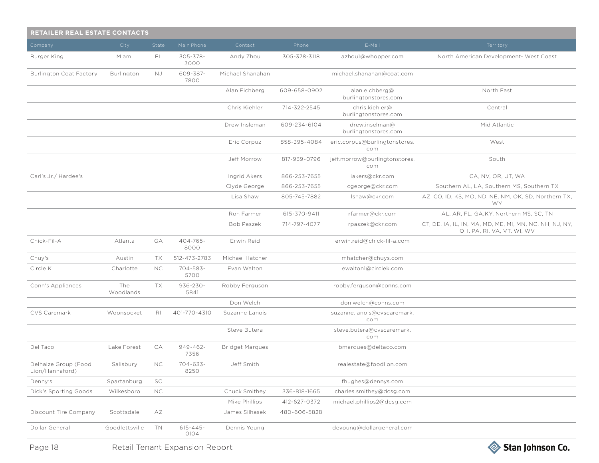| <b>RETAILER REAL ESTATE CONTACTS</b>    |                  |                |                       |                        |              |                                        |                                                                                       |  |  |
|-----------------------------------------|------------------|----------------|-----------------------|------------------------|--------------|----------------------------------------|---------------------------------------------------------------------------------------|--|--|
| Company                                 | City             | State          | Main Phone            | Contact                | Phone        | E-Mail                                 | Territory                                                                             |  |  |
| Burger King                             | Miami            | FL.            | 305-378-<br>3000      | Andy Zhou              | 305-378-3118 | azhou1@whopper.com                     | North American Development- West Coast                                                |  |  |
| <b>Burlington Coat Factory</b>          | Burlington       | NJ.            | 609-387-<br>7800      | Michael Shanahan       |              | michael.shanahan@coat.com              |                                                                                       |  |  |
|                                         |                  |                |                       | Alan Eichberg          | 609-658-0902 | alan.eichberg@<br>burlingtonstores.com | North East                                                                            |  |  |
|                                         |                  |                |                       | Chris Kiehler          | 714-322-2545 | chris.kiehler@<br>burlingtonstores.com | Central                                                                               |  |  |
|                                         |                  |                |                       | Drew Insleman          | 609-234-6104 | drew.inselman@<br>burlingtonstores.com | Mid Atlantic                                                                          |  |  |
|                                         |                  |                |                       | Eric Corpuz            | 858-395-4084 | eric.corpus@burlingtonstores.<br>com   | West                                                                                  |  |  |
|                                         |                  |                |                       | Jeff Morrow            | 817-939-0796 | jeff.morrow@burlingtonstores.<br>com   | South                                                                                 |  |  |
| Carl's Jr./ Hardee's                    |                  |                |                       | Ingrid Akers           | 866-253-7655 | iakers@ckr.com                         | CA, NV, OR, UT, WA                                                                    |  |  |
|                                         |                  |                |                       | Clyde George           | 866-253-7655 | cgeorge@ckr.com                        | Southern AL, LA, Southern MS, Southern TX                                             |  |  |
|                                         |                  |                |                       | Lisa Shaw              | 805-745-7882 | Ishaw@ckr.com                          | AZ, CO, ID, KS, MO, ND, NE, NM, OK, SD, Northern TX,<br><b>WY</b>                     |  |  |
|                                         |                  |                |                       | Ron Farmer             | 615-370-9411 | rfarmer@ckr.com                        | AL, AR, FL, GA, KY, Northern MS, SC, TN                                               |  |  |
|                                         |                  |                |                       | <b>Bob Paszek</b>      | 714-797-4077 | rpaszek@ckr.com                        | CT, DE, IA, IL, IN, MA, MD, ME, MI, MN, NC, NH, NJ, NY,<br>OH, PA, RI, VA, VT, WI, WV |  |  |
| Chick-Fil-A                             | Atlanta          | GA             | 404-765-<br>8000      | Erwin Reid             |              | erwin.reid@chick-fil-a.com             |                                                                                       |  |  |
| Chuy's                                  | Austin           | TX             | 512-473-2783          | Michael Hatcher        |              | mhatcher@chuys.com                     |                                                                                       |  |  |
| Circle K                                | Charlotte        | NC.            | 704-583-<br>5700      | Evan Walton            |              | ewalton1@circlek.com                   |                                                                                       |  |  |
| Conn's Appliances                       | The<br>Woodlands | TX             | $936 - 230 -$<br>5841 | Robby Ferguson         |              | robby.ferguson@conns.com               |                                                                                       |  |  |
|                                         |                  |                |                       | Don Welch              |              | don.welch@conns.com                    |                                                                                       |  |  |
| CVS Caremark                            | Woonsocket       | R <sub>1</sub> | 401-770-4310          | Suzanne Lanois         |              | suzanne.lanois@cvscaremark.<br>com     |                                                                                       |  |  |
|                                         |                  |                |                       | Steve Butera           |              | steve.butera@cvscaremark.<br>com       |                                                                                       |  |  |
| Del Taco                                | Lake Forest      | СA             | $949 - 462 -$<br>7356 | <b>Bridget Marques</b> |              | bmarques@deltaco.com                   |                                                                                       |  |  |
| Delhaize Group (Food<br>Lion/Hannaford) | Salisbury        | NC.            | $704 - 633 -$<br>8250 | Jeff Smith             |              | realestate@foodlion.com                |                                                                                       |  |  |
| Denny's                                 | Spartanburg      | SC             |                       |                        |              | fhughes@dennys.com                     |                                                                                       |  |  |
| Dick's Sporting Goods                   | Wilkesboro       | $NC$           |                       | Chuck Smithey          | 336-818-1665 | charles.smithey@dcsg.com               |                                                                                       |  |  |
|                                         |                  |                |                       | Mike Phillips          | 412-627-0372 | michael.phillips2@dcsg.com             |                                                                                       |  |  |
| Discount Tire Company                   | Scottsdale       | AZ             |                       | James Silhasek         | 480-606-5828 |                                        |                                                                                       |  |  |
| Dollar General                          | Goodlettsville   | TN.            | $615 - 445 -$<br>0104 | Dennis Young           |              | deyoung@dollargeneral.com              |                                                                                       |  |  |

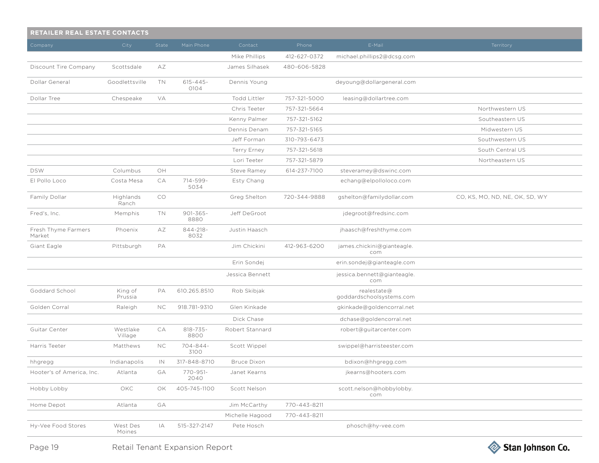| <b>RETAILER REAL ESTATE CONTACTS</b> |                     |           |                       |                    |              |                                         |                                |  |  |
|--------------------------------------|---------------------|-----------|-----------------------|--------------------|--------------|-----------------------------------------|--------------------------------|--|--|
| Company                              | City                | State     | Main Phone            | Contact            | Phone        | E-Mail                                  | Territory                      |  |  |
|                                      |                     |           |                       | Mike Phillips      | 412-627-0372 | michael.phillips2@dcsg.com              |                                |  |  |
| Discount Tire Company                | Scottsdale          | AΖ        |                       | James Silhasek     | 480-606-5828 |                                         |                                |  |  |
| Dollar General                       | Goodlettsville      | <b>TN</b> | $615 - 445 -$<br>0104 | Dennis Young       |              | deyoung@dollargeneral.com               |                                |  |  |
| Dollar Tree                          | Chespeake           | VA        |                       | Todd Littler       | 757-321-5000 | leasing@dollartree.com                  |                                |  |  |
|                                      |                     |           |                       | Chris Teeter       | 757-321-5664 |                                         | Northwestern US                |  |  |
|                                      |                     |           |                       | Kenny Palmer       | 757-321-5162 |                                         | Southeastern US                |  |  |
|                                      |                     |           |                       | Dennis Denam       | 757-321-5165 |                                         | Midwestern US                  |  |  |
|                                      |                     |           |                       | Jeff Forman        | 310-793-6473 |                                         | Southwestern US                |  |  |
|                                      |                     |           |                       | Terry Erney        | 757-321-5618 |                                         | South Central US               |  |  |
|                                      |                     |           |                       | Lori Teeter        | 757-321-5879 |                                         | Northeastern US                |  |  |
| <b>DSW</b>                           | Columbus            | OH        |                       | Steve Ramey        | 614-237-7100 | steveramey@dswinc.com                   |                                |  |  |
| El Pollo Loco                        | Costa Mesa          | СA        | 714-599-<br>5034      | Esty Chang         |              | echang@elpolloloco.com                  |                                |  |  |
| Family Dollar                        | Highlands<br>Ranch  | CO        |                       | Greg Shelton       | 720-344-9888 | gshelton@familydollar.com               | CO, KS, MO, ND, NE, OK, SD, WY |  |  |
| Fred's, Inc.                         | Memphis             | TN        | $901 - 365 -$<br>8880 | Jeff DeGroot       |              | jdegroot@fredsinc.com                   |                                |  |  |
| Fresh Thyme Farmers<br>Market        | Phoenix             | AΖ        | $844 - 218 -$<br>8032 | Justin Haasch      |              | jhaasch@freshthyme.com                  |                                |  |  |
| Giant Eagle                          | Pittsburgh          | PA        |                       | Jim Chickini       | 412-963-6200 | james.chickini@gianteagle.<br>com       |                                |  |  |
|                                      |                     |           |                       | Erin Sondej        |              | erin.sondej@gianteagle.com              |                                |  |  |
|                                      |                     |           |                       | Jessica Bennett    |              | jessica.bennett@gianteagle.<br>com      |                                |  |  |
| Goddard School                       | King of<br>Prussia  | PA        | 610.265.8510          | Rob Skibjak        |              | realestate@<br>goddardschoolsystems.com |                                |  |  |
| Golden Corral                        | Raleigh             | NC.       | 918.781-9310          | Glen Kinkade       |              | gkinkade@goldencorral.net               |                                |  |  |
|                                      |                     |           |                       | Dick Chase         |              | dchase@goldencorral.net                 |                                |  |  |
| Guitar Center                        | Westlake<br>Village | CA        | $818 - 735 -$<br>8800 | Robert Stannard    |              | robert@guitarcenter.com                 |                                |  |  |
| Harris Teeter                        | Matthews            | NC.       | 704-844-<br>3100      | Scott Wippel       |              | swippel@harristeester.com               |                                |  |  |
| hhgregg                              | Indianapolis        | IN        | 317-848-8710          | <b>Bruce Dixon</b> |              | bdixon@hhgregg.com                      |                                |  |  |
| Hooter's of America, Inc.            | Atlanta             | GA        | 770-951-<br>2040      | Janet Kearns       |              | jkearns@hooters.com                     |                                |  |  |
| Hobby Lobby                          | OKC                 | OK        | 405-745-1100          | Scott Nelson       |              | scott.nelson@hobbylobby.<br>com         |                                |  |  |
| Home Depot                           | Atlanta             | GA        |                       | Jim McCarthy       | 770-443-8211 |                                         |                                |  |  |
|                                      |                     |           |                       | Michelle Hagood    | 770-443-8211 |                                         |                                |  |  |
| Hy-Vee Food Stores                   | West Des<br>Moines  | IA        | 515-327-2147          | Pete Hosch         |              | phosch@hy-vee.com                       |                                |  |  |

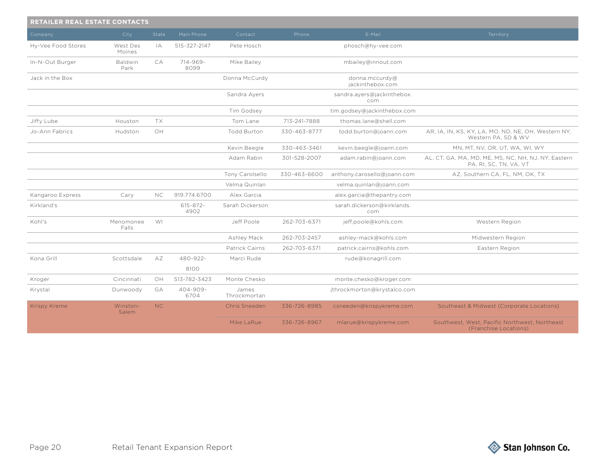| <b>RETAILER REAL ESTATE CONTACTS</b> |                    |           |                       |                       |              |                                    |                                                                               |  |  |  |
|--------------------------------------|--------------------|-----------|-----------------------|-----------------------|--------------|------------------------------------|-------------------------------------------------------------------------------|--|--|--|
| Company                              | City               | State     | Main Phone            | Contact               | Phone        | E-Mail                             | Territory                                                                     |  |  |  |
| Hy-Vee Food Stores                   | West Des<br>Moines | IA        | 515-327-2147          | Pete Hosch            |              | phosch@hy-vee.com                  |                                                                               |  |  |  |
| In-N-Out Burger                      | Baldwin<br>Park    | CA        | $714 - 969 -$<br>8099 | Mike Bailey           |              | mbailey@innout.com                 |                                                                               |  |  |  |
| Jack in the Box                      |                    |           |                       | Donna McCurdy         |              | donna.mccurdy@<br>jackinthebox.com |                                                                               |  |  |  |
|                                      |                    |           |                       | Sandra Ayers          |              | sandra.ayers@jackinthebox.<br>com  |                                                                               |  |  |  |
|                                      |                    |           |                       | Tim Godsey            |              | tim.godsey@jackinthebox.com        |                                                                               |  |  |  |
| Jiffy Lube                           | Houston            | TX        |                       | Tom Lane              | 713-241-7888 | thomas.lane@shell.com              |                                                                               |  |  |  |
| Jo-Ann Fabrics                       | Hudston            | OH        |                       | <b>Todd Burton</b>    | 330-463-8777 | todd.burton@joann.com              | AR, IA, IN, KS, KY, LA, MO, ND, NE, OH, Western NY,<br>Western PA, SD & WV    |  |  |  |
|                                      |                    |           |                       | Kevin Beegle          | 330-463-3461 | kevin.beegle@joann.com             | MN, MT, NV, OR, UT, WA, WI, WY                                                |  |  |  |
|                                      |                    |           |                       | Adam Rabin            | 301-528-2007 | adam.rabin@joann.com               | AL, CT, GA, MA, MD, ME, MS, NC, NH, NJ, NY, Eastern<br>PA, RI, SC, TN, VA, VT |  |  |  |
|                                      |                    |           |                       | Tony Carolsello       | 330-463-6600 | anthony.carosello@joann.com        | AZ, Southern CA, FL, NM, OK, TX                                               |  |  |  |
|                                      |                    |           |                       | Velma Quinlan         |              | velma.quinlan@joann.com            |                                                                               |  |  |  |
| Kangaroo Express                     | Cary               | NC        | 919.774.6700          | Alex Garcia           |              | alex.garcia@thepantry.com          |                                                                               |  |  |  |
| Kirkland's                           |                    |           | $615 - 872 -$<br>4902 | Sarah Dickerson       |              | sarah.dickerson@kirklands.<br>com  |                                                                               |  |  |  |
| Kohl's                               | Menomonee<br>Falls | <b>WI</b> |                       | Jeff Poole            | 262-703-6371 | jeff.poole@kohls.com               | Western Region                                                                |  |  |  |
|                                      |                    |           |                       | Ashley Mack           | 262-703-2457 | ashley-mack@kohls.com              | Midwestern Region                                                             |  |  |  |
|                                      |                    |           |                       | Patrick Cairns        | 262-703-6371 | patrick.cairns@kohls.com           | Eastern Region                                                                |  |  |  |
| Kona Grill                           | Scottsdale         | AΖ        | 480-922-              | Marci Rude            |              | rude@konagrill.com                 |                                                                               |  |  |  |
|                                      |                    |           | 8100                  |                       |              |                                    |                                                                               |  |  |  |
| Kroger                               | Cincinnati         | OH        | 513-782-3423          | Monte Chesko          |              | monte.chesko@kroger.com            |                                                                               |  |  |  |
| Krystal                              | Dunwoody           | GA        | $404 - 909 -$<br>6704 | James<br>Throckmortan |              | jthrockmorton@krystalco.com        |                                                                               |  |  |  |
| <b>Krispy Kreme</b>                  | Winston-<br>Salem  | NC        |                       | Chris Sneeden         | 336-726-8985 | csneeden@krispykreme.com           | Southeast & Midwest (Corporate Locations)                                     |  |  |  |
|                                      |                    |           |                       | Mike LaRue            | 336-726-8967 | mlarue@krispykreme.com             | Southwest, West, Pacific Northwest, Northeast<br>(Franchise Locations)        |  |  |  |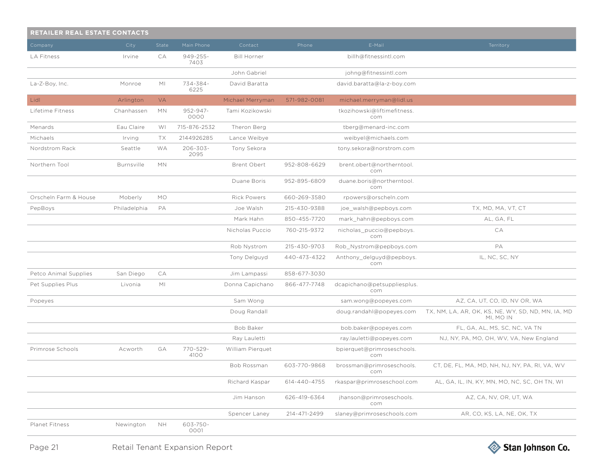| RETAILER REAL ESTATE CONTACTS |                   |                |                       |                    |              |                                    |                                                                 |
|-------------------------------|-------------------|----------------|-----------------------|--------------------|--------------|------------------------------------|-----------------------------------------------------------------|
| Company                       | City              | State          | Main Phone            | Contact            | Phone        | E-Mail                             | Territory                                                       |
| <b>LA Fitness</b>             | Irvine            | СA             | $949 - 255 -$<br>7403 | <b>Bill Horner</b> |              | billh@fitnessintl.com              |                                                                 |
|                               |                   |                |                       | John Gabriel       |              | johng@fitnessintl.com              |                                                                 |
| La-Z-Boy, Inc.                | Monroe            | M <sub>l</sub> | 734-384-<br>6225      | David Baratta      |              | david.baratta@la-z-boy.com         |                                                                 |
| Lidl                          | Arlington         | <b>VA</b>      |                       | Michael Merryman   | 571-982-0081 | michael.merryman@lidl.us           |                                                                 |
| Lifetime Fitness              | Chanhassen        | <b>MN</b>      | 952-947-<br>0000      | Tami Kozikowski    |              | tkozihowski@liftimefitness.<br>com |                                                                 |
| Menards                       | Eau Claire        | WI             | 715-876-2532          | Theron Berg        |              | tberg@menard-inc.com               |                                                                 |
| Michaels                      | Irving            | TX             | 2144926285            | Lance Weibye       |              | weibyel@michaels.com               |                                                                 |
| Nordstrom Rack                | Seattle           | WA             | $206 - 303 -$<br>2095 | Tony Sekora        |              | tony.sekora@norstrom.com           |                                                                 |
| Northern Tool                 | <b>Burnsville</b> | <b>MN</b>      |                       | Brent Obert        | 952-808-6629 | brent.obert@northerntool.<br>com   |                                                                 |
|                               |                   |                |                       | Duane Boris        | 952-895-6809 | duane.boris@northerntool.<br>com   |                                                                 |
| Orscheln Farm & House         | Moberly           | <b>MO</b>      |                       | <b>Rick Powers</b> | 660-269-3580 | rpowers@orscheln.com               |                                                                 |
| PepBoys                       | Philadelphia      | PA             |                       | Joe Walsh          | 215-430-9388 | joe_walsh@pepboys.com              | TX, MD, MA, VT, CT                                              |
|                               |                   |                |                       | Mark Hahn          | 850-455-7720 | mark hahn@pepboys.com              | AL, GA, FL                                                      |
|                               |                   |                |                       | Nicholas Puccio    | 760-215-9372 | nicholas_puccio@pepboys.<br>com    | CA                                                              |
|                               |                   |                |                       | Rob Nystrom        | 215-430-9703 | Rob Nystrom@pepboys.com            | PA                                                              |
|                               |                   |                |                       | Tony Delguyd       | 440-473-4322 | Anthony_delguyd@pepboys.<br>com    | IL, NC, SC, NY                                                  |
| Petco Animal Supplies         | San Diego         | СA             |                       | Jim Lampassi       | 858-677-3030 |                                    |                                                                 |
| Pet Supplies Plus             | Livonia           | M <sub>l</sub> |                       | Donna Capichano    | 866-477-7748 | dcapichano@petsuppliesplus.<br>com |                                                                 |
| Popeyes                       |                   |                |                       | Sam Wong           |              | sam.wong@popeyes.com               | AZ, CA, UT, CO, ID, NV OR, WA                                   |
|                               |                   |                |                       | Doug Randall       |              | doug.randahl@popeyes.com           | TX, NM, LA, AR, OK, KS, NE, WY, SD, ND, MN, IA, MD<br>MI. MO IN |
|                               |                   |                |                       | Bob Baker          |              | bob.baker@popeyes.com              | FL, GA, AL, MS, SC, NC, VA TN                                   |
|                               |                   |                |                       | Ray Lauletti       |              | ray.lauletti@popeyes.com           | NJ, NY, PA, MO, OH, WV, VA, New England                         |
| Primrose Schools              | Acworth           | GA             | 770-529-<br>4100      | William Pierquet   |              | bpierquet@primroseschools.<br>com  |                                                                 |
|                               |                   |                |                       | Bob Rossman        | 603-770-9868 | brossman@primroseschools.<br>com   | CT, DE, FL, MA, MD, NH, NJ, NY, PA, RI, VA, WV                  |
|                               |                   |                |                       | Richard Kaspar     | 614-440-4755 | rkaspar@primroseschool.com         | AL, GA, IL, IN, KY, MN, MO, NC, SC, OH TN, WI                   |
|                               |                   |                |                       | Jim Hanson         | 626-419-6364 | jhanson@primroseschools.<br>com    | AZ, CA, NV, OR, UT, WA                                          |
|                               |                   |                |                       | Spencer Laney      | 214-471-2499 | slaney@primroseschools.com         | AR, CO, KS, LA, NE, OK, TX                                      |
| Planet Fitness                | Newington         | <b>NH</b>      | 603-750-<br>0001      |                    |              |                                    |                                                                 |

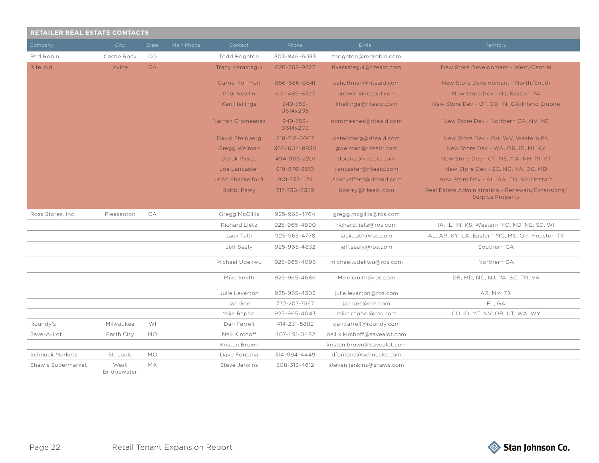| RETAILER REAL ESTATE CONTACTS |                     |           |            |                         |                           |                              |                                                                              |  |  |  |
|-------------------------------|---------------------|-----------|------------|-------------------------|---------------------------|------------------------------|------------------------------------------------------------------------------|--|--|--|
| Company                       | City                | State     | Main Phone | Contact                 | Phone                     | E-Mail                       | Territory                                                                    |  |  |  |
| Red Robin                     | Castle Rock         | CO        |            | <b>Todd Brighton</b>    | 303-846-6033              | tbrighton@redrobin.com       |                                                                              |  |  |  |
| <b>Rite Aid</b>               | Irvine              | <b>CA</b> |            | Tracy Verastegui        | 626-858-9227              | tlverastegui@riteaid.com     | New Store Development - West/Central                                         |  |  |  |
|                               |                     |           |            | Carrie Hoffman          | 856-686-0841              | cehoffman@riteaid.com        | New Store Development - North/South                                          |  |  |  |
|                               |                     |           |            | Paul Newlin             | 610-489-8327              | pnewlin@riteaid.com          | New Store Dev - NJ, Eastern PA                                               |  |  |  |
|                               |                     |           |            | Keri Hellinga           | $949 - 753 -$<br>0614x205 | khellinga@riteaid.com        | New Store Dev - UT, CO, IN, CA-Inland Empire                                 |  |  |  |
|                               |                     |           |            | <b>Nathan Cromeenes</b> | $949 - 753 -$<br>0614x203 | ncromeenes@riteaid.com       | New Store Dev - Northern CA, NV, MS                                          |  |  |  |
|                               |                     |           |            | David Steinberg         | 818-718-6067              | dsteinberg@riteaid.com       | New Store Dev - OH, WV, Western PA                                           |  |  |  |
|                               |                     |           |            | Gregg Weiman            | 360-604-8930              | gweiman@riteaid.com          | New Store Dev - WA, OR, ID, MI, KY                                           |  |  |  |
|                               |                     |           |            | Derek Pierce            | 494-905-2201              | dpierce@riteaid.com          | New Store Dev - CT, ME, MA, NH, RI, VT                                       |  |  |  |
|                               |                     |           |            | Joe Lancaster           | 919-676-3610              | jlancaster@riteaid.com       | New Store Dev - SC, NC, VA, DC, MD                                           |  |  |  |
|                               |                     |           |            | John Shackelford        | 901-737-1125              | jshackelford@riteaid.com     | New Store Dev - AL, GA, TN, NY-Upstate                                       |  |  |  |
|                               |                     |           |            | Bobbi Perry             | 717-730-8359              | bperry@riteaid.com           | Real Estate Administration - Renewals/Extensions/<br><b>Surplus Property</b> |  |  |  |
| Ross Stores, Inc.             | Pleasanton          | CA        |            | Gregg McGillis          | 925-965-4764              | gregg.mcgillis@ros.com       |                                                                              |  |  |  |
|                               |                     |           |            | Richard Lietz           | 925-965-4890              | richard.lietz@ros.com        | TA, IL, IN, KS, Western MO, ND, NE, SD, WI                                   |  |  |  |
|                               |                     |           |            | Jack Toth               | 925-965-4778              | jack.toth@ros.com            | AL, AR, KY, LA, Eastern MO, MS, OK, Houston TX                               |  |  |  |
|                               |                     |           |            | Jeff Sealy              | 925-965-4832              | jeff.sealy@ros.com           | Southern CA                                                                  |  |  |  |
|                               |                     |           |            | Michael Udekwu          | 925-965-4098              | michael.udekwu@ros.com       | Northern CA                                                                  |  |  |  |
|                               |                     |           |            | Mike Smith              | 925-965-4686              | Mike.cmith@ros.com           | DE, MD, NC, NJ, PA, SC, TN, VA                                               |  |  |  |
|                               |                     |           |            | Julie Leverton          | 925-965-4302              | julie.leverton@ros.com       | AZ, NM, TX                                                                   |  |  |  |
|                               |                     |           |            | Jac Gee                 | 772-207-7557              | jac.gee@ros.com              | FL, GA                                                                       |  |  |  |
|                               |                     |           |            | Mike Raphel             | 925-965-4043              | mike.raphel@ros.com          | CO, ID, MT, NV, OR, UT, WA, WY                                               |  |  |  |
| Roundy's                      | Milwaukee           | WI        |            | Dan Ferrell             | 414-231-5882              | dan.farrell@roundy.com       |                                                                              |  |  |  |
| Save-A-Lot                    | Earth City          | <b>MO</b> |            | Neil Kirchoff           | 407-491-0482              | neil.k.kirchoff@savealot.com |                                                                              |  |  |  |
|                               |                     |           |            | Kristen Brown           |                           | kristen.brown@savealot.com   |                                                                              |  |  |  |
| <b>Schnuck Markets</b>        | St. Louis           | <b>MO</b> |            | Dave Fontana            | 314-994-4449              | dfontana@schnucks.com        |                                                                              |  |  |  |
| Shaw's Supermarket            | West<br>Bridgewater | МA        |            | Steve Jenkins           | 508-313-4612              | steven.jenkins@shaws.com     |                                                                              |  |  |  |

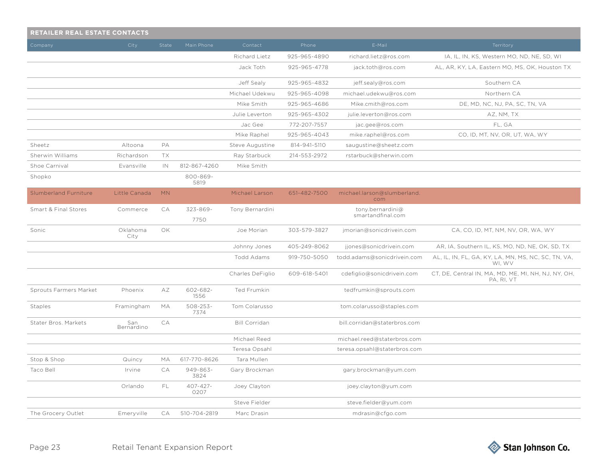| <b>RETAILER REAL ESTATE CONTACTS</b> |                   |           |                       |                      |              |                                       |                                                                   |  |  |  |
|--------------------------------------|-------------------|-----------|-----------------------|----------------------|--------------|---------------------------------------|-------------------------------------------------------------------|--|--|--|
| Company                              | City              | State     | Main Phone            | Contact              | Phone        | E-Mail                                | Territory                                                         |  |  |  |
|                                      |                   |           |                       | Richard Lietz        | 925-965-4890 | richard.lietz@ros.com                 | IA, IL, IN, KS, Western MO, ND, NE, SD, WI                        |  |  |  |
|                                      |                   |           |                       | Jack Toth            | 925-965-4778 | jack.toth@ros.com                     | AL, AR, KY, LA, Eastern MO, MS, OK, Houston TX                    |  |  |  |
|                                      |                   |           |                       | Jeff Sealy           | 925-965-4832 | jeff.sealy@ros.com                    | Southern CA                                                       |  |  |  |
|                                      |                   |           |                       | Michael Udekwu       | 925-965-4098 | michael.udekwu@ros.com                | Northern CA                                                       |  |  |  |
|                                      |                   |           |                       | Mike Smith           | 925-965-4686 | Mike.cmith@ros.com                    | DE, MD, NC, NJ, PA, SC, TN, VA                                    |  |  |  |
|                                      |                   |           |                       | Julie Leverton       | 925-965-4302 | julie.leverton@ros.com                | AZ, NM, TX                                                        |  |  |  |
|                                      |                   |           |                       | Jac Gee              | 772-207-7557 | jac.gee@ros.com                       | FL, GA                                                            |  |  |  |
|                                      |                   |           |                       | Mike Raphel          | 925-965-4043 | mike.raphel@ros.com                   | CO, ID, MT, NV, OR, UT, WA, WY                                    |  |  |  |
| Sheetz                               | Altoona           | PA        |                       | Steve Augustine      | 814-941-5110 | saugustine@sheetz.com                 |                                                                   |  |  |  |
| Sherwin Williams                     | Richardson        | TX        |                       | Ray Starbuck         | 214-553-2972 | rstarbuck@sherwin.com                 |                                                                   |  |  |  |
| Shoe Carnival                        | Evansville        | IN        | 812-867-4260          | Mike Smith           |              |                                       |                                                                   |  |  |  |
| Shopko                               |                   |           | 800-869-<br>5819      |                      |              |                                       |                                                                   |  |  |  |
| <b>Slumberland Furniture</b>         | Little Canada     | <b>MN</b> |                       | Michael Larson       | 651-482-7500 | michael.larson@slumberland.<br>com    |                                                                   |  |  |  |
| Smart & Final Stores                 | Commerce          | СA        | 323-869-<br>7750      | Tony Bernardini      |              | tony.bernardini@<br>smartandfinal.com |                                                                   |  |  |  |
|                                      |                   | <b>OK</b> |                       |                      |              |                                       |                                                                   |  |  |  |
| Sonic                                | Oklahoma<br>City  |           |                       | Joe Morian           | 303-579-3827 | jmorian@sonicdrivein.com              | CA, CO, ID, MT, NM, NV, OR, WA, WY                                |  |  |  |
|                                      |                   |           |                       | Johnny Jones         | 405-249-8062 | jjones@sonicdrivein.com               | AR, IA, Southern IL, KS, MO, ND, NE, OK, SD, TX                   |  |  |  |
|                                      |                   |           |                       | Todd Adams           | 919-750-5050 | todd.adams@sonicdrivein.com           | AL, IL, IN, FL, GA, KY, LA, MN, MS, NC, SC, TN, VA,<br>WI, WV     |  |  |  |
|                                      |                   |           |                       | Charles DeFiglio     | 609-618-5401 | cdefiglio@sonicdrivein.com            | CT, DE, Central IN, MA, MD, ME, MI, NH, NJ, NY, OH,<br>PA, RI, VT |  |  |  |
| Sprouts Farmers Market               | Phoenix           | AΖ        | 602-682-<br>1556      | Ted Frumkin          |              | tedfrumkin@sprouts.com                |                                                                   |  |  |  |
| Staples                              | Framingham        | МA        | $508 - 253 -$<br>7374 | Tom Colarusso        |              | tom.colarusso@staples.com             |                                                                   |  |  |  |
| Stater Bros. Markets                 | San<br>Bernardino | CA        |                       | <b>Bill Corridan</b> |              | bill.corridan@staterbros.com          |                                                                   |  |  |  |
|                                      |                   |           |                       | Michael Reed         |              | michael.reed@staterbros.com           |                                                                   |  |  |  |
|                                      |                   |           |                       | Teresa Opsahl        |              | teresa.opsahl@staterbros.com          |                                                                   |  |  |  |
| Stop & Shop                          | Quincy            | МA        | 617-770-8626          | Tara Mullen          |              |                                       |                                                                   |  |  |  |
| Taco Bell                            | Irvine            | СA        | 949-863-<br>3824      | Gary Brockman        |              | gary.brockman@yum.com                 |                                                                   |  |  |  |
|                                      | Orlando           | FL        | 407-427-<br>0207      | Joey Clayton         |              | joey.clayton@yum.com                  |                                                                   |  |  |  |
|                                      |                   |           |                       | Steve Fielder        |              | steve.fielder@yum.com                 |                                                                   |  |  |  |
| The Grocery Outlet                   | Emeryville        | CA        | 510-704-2819          | Marc Drasin          |              | mdrasin@cfgo.com                      |                                                                   |  |  |  |

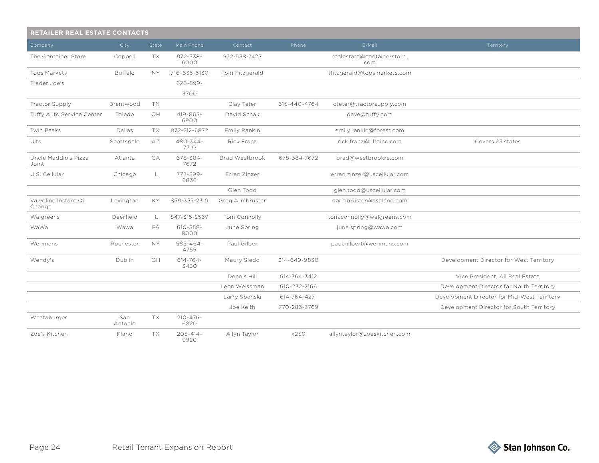| RETAILER REAL ESTATE CONTACTS   |                |           |                       |                 |              |                                   |                                             |  |  |
|---------------------------------|----------------|-----------|-----------------------|-----------------|--------------|-----------------------------------|---------------------------------------------|--|--|
| Company                         | City           | State     | Main Phone            | Contact         | Phone        | E-Mail                            | Territory                                   |  |  |
| The Container Store             | Coppell        | TX        | $972 - 538 -$<br>6000 | 972-538-7425    |              | realestate@containerstore.<br>com |                                             |  |  |
| <b>Tops Markets</b>             | <b>Buffalo</b> | <b>NY</b> | 716-635-5130          | Tom Fitzgerald  |              | tfitzgerald@topsmarkets.com       |                                             |  |  |
| Trader Joe's                    |                |           | $626 - 599 -$         |                 |              |                                   |                                             |  |  |
|                                 |                |           | 3700                  |                 |              |                                   |                                             |  |  |
| Tractor Supply                  | Brentwood      | <b>TN</b> |                       | Clay Teter      | 615-440-4764 | cteter@tractorsupply.com          |                                             |  |  |
| Tuffy Auto Service Center       | Toledo         | OH        | $419 - 865 -$<br>6900 | David Schak     |              | dave@tuffy.com                    |                                             |  |  |
| Twin Peaks                      | Dallas         | TX        | 972-212-6872          | Emily Rankin    |              | emily.rankin@fbrest.com           |                                             |  |  |
| Ulta                            | Scottsdale     | AZ        | 480-344-<br>7710      | Rick Franz      |              | rick.franz@ultainc.com            | Covers 23 states                            |  |  |
| Uncle Maddio's Pizza<br>Joint   | Atlanta        | GA        | 678-384-<br>7672      | Brad Westbrook  | 678-384-7672 | brad@westbrookre.com              |                                             |  |  |
| U.S. Cellular                   | Chicago        | IL        | 773-399-<br>6836      | Erran Zinzer    |              | erran.zinzer@uscellular.com       |                                             |  |  |
|                                 |                |           |                       | Glen Todd       |              | glen.todd@uscellular.com          |                                             |  |  |
| Valvoline Instant Oil<br>Change | Lexington      | KY        | 859-357-2319          | Greg Armbruster |              | garmbruster@ashland.com           |                                             |  |  |
| Walgreens                       | Deerfield      | IL        | 847-315-2569          | Tom Connolly    |              | tom.connolly@walgreens.com        |                                             |  |  |
| WaWa                            | Wawa           | PA        | $610 - 358 -$<br>8000 | June Spring     |              | june.spring@wawa.com              |                                             |  |  |
| Wegmans                         | Rochester      | <b>NY</b> | $585 - 464 -$<br>4755 | Paul Gilber     |              | paul.gilbert@wegmans.com          |                                             |  |  |
| Wendy's                         | Dublin         | OH        | $614 - 764 -$<br>3430 | Maury Sledd     | 214-649-9830 |                                   | Development Director for West Territory     |  |  |
|                                 |                |           |                       | Dennis Hill     | 614-764-3412 |                                   | Vice President, All Real Estate             |  |  |
|                                 |                |           |                       | Leon Weissman   | 610-232-2166 |                                   | Development Director for North Territory    |  |  |
|                                 |                |           |                       | Larry Spanski   | 614-764-4271 |                                   | Development Director for Mid-West Territory |  |  |
|                                 |                |           |                       | Joe Keith       | 770-283-3769 |                                   | Development Director for South Territory    |  |  |
| Whataburger                     | San<br>Antonio | TX        | $210 - 476 -$<br>6820 |                 |              |                                   |                                             |  |  |
| Zoe's Kitchen                   | Plano          | <b>TX</b> | $205 - 414 -$<br>9920 | Allyn Taylor    | x250         | allyntaylor@zoeskitchen.com       |                                             |  |  |

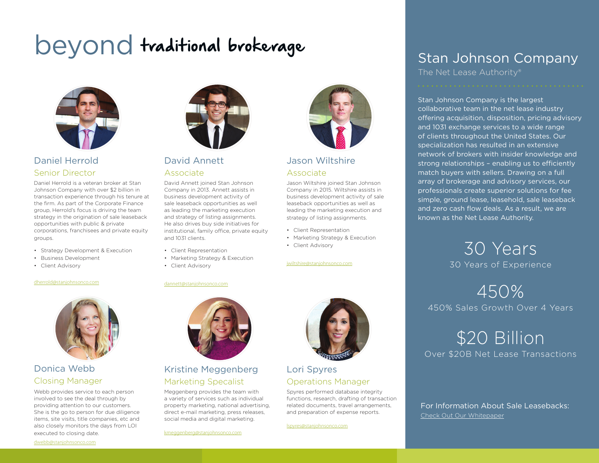# beyond traditional brokerage



### Daniel Herrold Senior Director

Daniel Herrold is a veteran broker at Stan Johnson Company with over \$2 billion in transaction experience through his tenure at the firm. As part of the Corporate Finance group, Herrold's focus is driving the team strategy in the origination of sale leaseback opportunities with public & private corporations, franchisees and private equity groups.

- Strategy Development & Execution
- Business Development
- Client Advisory

### dherrold[@stanjohnsonco.com](khedrick@stanjohnsonco.com)



### Donica Webb Closing Manager

Webb provides service to each person involved to see the deal through by providing attention to our customers. She is the go to person for due diligence items, site visits, title companies, etc and also closely monitors the days from LOI executed to closing date.



### David Annett Associate

David Annett joined Stan Johnson Company in 2013. Annett assists in business development activity of sale leaseback opportunities as well as leading the marketing execution and strategy of listing assignments. He also drives buy side initiatives for institutional, family office, private equity and 1031 clients.

- Client Representation
- Marketing Strategy & Execution
	- Client Advisory
	- dannett[@stanjohnsonco.com](khedrick@stanjohnsonco.com)



### Kristine Meggenberg Marketing Specalist

Meggenberg provides the team with a variety of services such as individual property marketing, national advertising, direct e-mail marketing, press releases, social media and digital marketing.

kmeggenber[g@stanjohnsonco.com](khedrick@stanjohnsonco.com)



### Jason Wiltshire Associate

Jason Wiltshire joined Stan Johnson Company in 2015. Wiltshire assists in business development activity of sale leaseback opportunities as well as leading the marketing execution and strategy of listing assignments.

- Client Representation
- Marketing Strategy & Execution
- Client Advisory

### jwiltshire[@stanjohnsonco.com](khedrick@stanjohnsonco.com)

### Lori Spyres Operations Manager

Spyres performed database integrity functions, research, drafting of transaction related documents, travel arrangements, and preparation of expense reports.

lspyre[s@stanjohnsonco.com](khedrick@stanjohnsonco.com)

## Stan Johnson Company

The Net Lease Authority®

Stan Johnson Company is the largest collaborative team in the net lease industry offering acquisition, disposition, pricing advisory and 1031 exchange services to a wide range of clients throughout the United States. Our specialization has resulted in an extensive network of brokers with insider knowledge and strong relationships – enabling us to efficiently match buyers with sellers. Drawing on a full array of brokerage and advisory services, our professionals create superior solutions for fee simple, ground lease, leasehold, sale leaseback and zero cash flow deals. As a result, we are known as the Net Lease Authority.

> 30 Years 30 Years of Experience

450% 450% Sales Growth Over 4 Years

\$20 Billion Over \$20B Net Lease Transactions

For Information About Sale Leasebacks: [Check Out Our W](http://bit.ly/1J0Yl1K)hitepaper

dweb[b@stanjohnsonco.com](khedrick@stanjohnsonco.com)